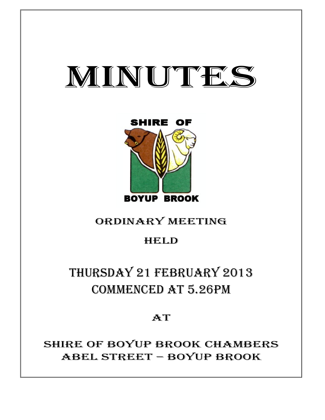



# ORDINARY MEETING

# HELD

# THURSDAY 21 FEBRUARY 2013 COMMENCED AT 5.26PM

# AT

# SHIRE OF BOYUP BROOK CHAMBERS ABEL STREET – BOYUP BROOK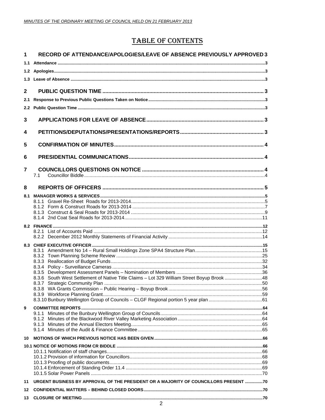# **TABLE OF CONTENTS**

| 1              | RECORD OF ATTENDANCE/APOLOGIES/LEAVE OF ABSENCE PREVIOUSLY APPROVED 3                      |  |
|----------------|--------------------------------------------------------------------------------------------|--|
| 1.1            |                                                                                            |  |
|                |                                                                                            |  |
|                |                                                                                            |  |
| $\mathbf{2}$   |                                                                                            |  |
| 2.1            |                                                                                            |  |
| $2.2^{\circ}$  |                                                                                            |  |
|                |                                                                                            |  |
| 3              |                                                                                            |  |
| 4              |                                                                                            |  |
| 5              |                                                                                            |  |
| 6              |                                                                                            |  |
| $\overline{7}$ |                                                                                            |  |
|                | 7.1                                                                                        |  |
| 8              |                                                                                            |  |
|                |                                                                                            |  |
|                |                                                                                            |  |
|                |                                                                                            |  |
|                |                                                                                            |  |
|                |                                                                                            |  |
|                |                                                                                            |  |
|                |                                                                                            |  |
|                |                                                                                            |  |
|                |                                                                                            |  |
|                |                                                                                            |  |
|                |                                                                                            |  |
|                | 8.3.6 South West Settlement of Native Title Claims - Lot 329 William Street Boyup Brook 48 |  |
|                |                                                                                            |  |
|                |                                                                                            |  |
|                |                                                                                            |  |
| 9              |                                                                                            |  |
|                |                                                                                            |  |
|                |                                                                                            |  |
|                |                                                                                            |  |
| 10             |                                                                                            |  |
|                |                                                                                            |  |
|                |                                                                                            |  |
|                |                                                                                            |  |
|                |                                                                                            |  |
|                |                                                                                            |  |
| 11             | URGENT BUSINESS BY APPROVAL OF THE PRESIDENT OR A MAJORITY OF COUNCILLORS PRESENT 70       |  |
| 12             |                                                                                            |  |
| 13             |                                                                                            |  |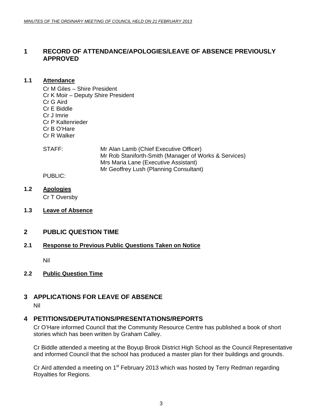# <span id="page-2-0"></span>**1 RECORD OF ATTENDANCE/APOLOGIES/LEAVE OF ABSENCE PREVIOUSLY APPROVED**

#### **1.1 Attendance**

Cr M Giles – Shire President Cr K Moir – Deputy Shire President Cr G Aird Cr E Biddle Cr J Imrie Cr P Kaltenrieder Cr B O'Hare Cr R Walker

STAFF: Mr Alan Lamb (Chief Executive Officer) Mr Rob Staniforth-Smith (Manager of Works & Services) Mrs Maria Lane (Executive Assistant) Mr Geoffrey Lush (Planning Consultant)

# PUBLIC:

**1.2 Apologies**

Cr T Oversby

**1.3 Leave of Absence**

# **2 PUBLIC QUESTION TIME**

# **2.1 Response to Previous Public Questions Taken on Notice**

Nil

## **2.2 Public Question Time**

# **3 APPLICATIONS FOR LEAVE OF ABSENCE**

Nil

# **4 PETITIONS/DEPUTATIONS/PRESENTATIONS/REPORTS**

Cr O'Hare informed Council that the Community Resource Centre has published a book of short stories which has been written by Graham Calley.

Cr Biddle attended a meeting at the Boyup Brook District High School as the Council Representative and informed Council that the school has produced a master plan for their buildings and grounds.

Cr Aird attended a meeting on 1<sup>st</sup> February 2013 which was hosted by Terry Redman regarding Royalties for Regions.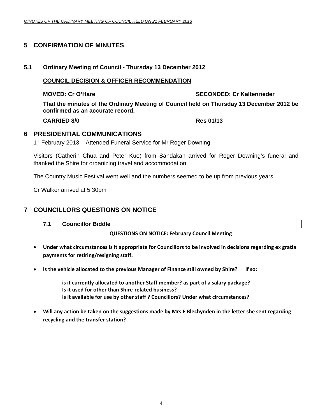# <span id="page-3-0"></span>**5 CONFIRMATION OF MINUTES**

#### **5.1 Ordinary Meeting of Council - Thursday 13 December 2012**

#### **COUNCIL DECISION & OFFICER RECOMMENDATION**

#### **MOVED: Cr O'Hare SECONDED: Cr Kaltenrieder All Cr Kaltenrieder Cr Kaltenrieder**

**That the minutes of the Ordinary Meeting of Council held on Thursday 13 December 2012 be confirmed as an accurate record.** 

**CARRIED 8/0 Res 01/13** 

## **6 PRESIDENTIAL COMMUNICATIONS**

1<sup>st</sup> February 2013 – Attended Funeral Service for Mr Roger Downing.

Visitors (Catherin Chua and Peter Kue) from Sandakan arrived for Roger Downing's funeral and thanked the Shire for organizing travel and accommodation.

The Country Music Festival went well and the numbers seemed to be up from previous years.

Cr Walker arrived at 5.30pm

# **7 COUNCILLORS QUESTIONS ON NOTICE**

**7.1 Councillor Biddle** 

#### **QUESTIONS ON NOTICE: February Council Meeting**

- **Under what circumstances is it appropriate for Councillors to be involved in decisions regarding ex gratia payments for retiring/resigning staff.**
- **Is the vehicle allocated to the previous Manager of Finance still owned by Shire? If so:**

**is it currently allocated to another Staff member? as part of a salary package? Is it used for other than Shire‐related business? Is it available for use by other staff ? Councillors? Under what circumstances?** 

• Will any action be taken on the suggestions made by Mrs E Blechynden in the letter she sent regarding **recycling and the transfer station?**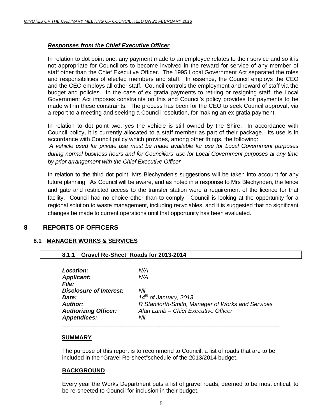# <span id="page-4-0"></span>*Responses from the Chief Executive Officer*

In relation to dot point one, any payment made to an employee relates to their service and so it is not appropriate for Councillors to become involved in the reward for service of any member of staff other than the Chief Executive Officer. The 1995 Local Government Act separated the roles and responsibilities of elected members and staff. In essence, the Council employs the CEO and the CEO employs all other staff. Council controls the employment and reward of staff via the budget and policies. In the case of ex gratia payments to retiring or resigning staff, the Local Government Act imposes constraints on this and Council's policy provides for payments to be made within these constraints. The process has been for the CEO to seek Council approval, via a report to a meeting and seeking a Council resolution, for making an ex gratia payment.

In relation to dot point two, yes the vehicle is still owned by the Shire. In accordance with Council policy, it is currently allocated to a staff member as part of their package. Its use is in accordance with Council policy which provides, among other things, the following:

*A vehicle used for private use must be made available for use for Local Government purposes during normal business hours and for Councillors' use for Local Government purposes at any time by prior arrangement with the Chief Executive Officer.* 

In relation to the third dot point, Mrs Blechynden's suggestions will be taken into account for any future planning. As Council will be aware, and as noted in a response to Mrs Blechynden, the fence and gate and restricted access to the transfer station were a requirement of the licence for that facility. Council had no choice other than to comply. Council is looking at the opportunity for a regional solution to waste management, including recyclables, and it is suggested that no significant changes be made to current operations until that opportunity has been evaluated.

# **8 REPORTS OF OFFICERS**

## **8.1 MANAGER WORKS & SERVICES**

| 8.1.1 Gravel Re-Sheet Roads for 2013-2014 |                                                   |
|-------------------------------------------|---------------------------------------------------|
| <b>Location:</b>                          | N/A                                               |
| <b>Applicant:</b>                         | N/A                                               |
| <i>File:</i>                              |                                                   |
| <b>Disclosure of Interest:</b>            | Nil                                               |
| Date:                                     | $14^{th}$ of January, 2013                        |
| Author:                                   | R Staniforth-Smith, Manager of Works and Services |
| <b>Authorizing Officer:</b>               | Alan Lamb - Chief Executive Officer               |
| <b>Appendices:</b>                        | Nil                                               |

## **SUMMARY**

The purpose of this report is to recommend to Council, a list of roads that are to be included in the "Gravel Re-sheet"schedule of the 2013/2014 budget.

## **BACKGROUND**

Every year the Works Department puts a list of gravel roads, deemed to be most critical, to be re-sheeted to Council for inclusion in their budget.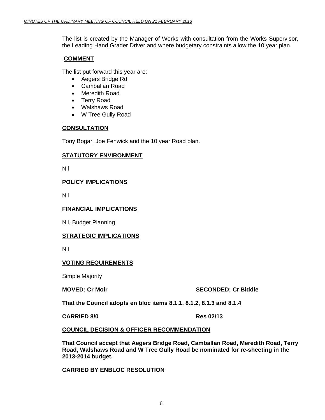The list is created by the Manager of Works with consultation from the Works Supervisor, the Leading Hand Grader Driver and where budgetary constraints allow the 10 year plan.

#### .**COMMENT**

The list put forward this year are:

- Aegers Bridge Rd
- Camballan Road
- Meredith Road
- Terry Road
- Walshaws Road
- W Tree Gully Road

## **CONSULTATION**

Tony Bogar, Joe Fenwick and the 10 year Road plan.

## **STATUTORY ENVIRONMENT**

Nil

.

## **POLICY IMPLICATIONS**

Nil

## **FINANCIAL IMPLICATIONS**

Nil, Budget Planning

## **STRATEGIC IMPLICATIONS**

Nil

## **VOTING REQUIREMENTS**

Simple Majority

#### **MOVED: Cr Moir** SECONDED: Cr Biddle

**That the Council adopts en bloc items 8.1.1, 8.1.2, 8.1.3 and 8.1.4** 

**CARRIED 8/0 Res 02/13** 

## **COUNCIL DECISION & OFFICER RECOMMENDATION**

**That Council accept that Aegers Bridge Road, Camballan Road, Meredith Road, Terry Road, Walshaws Road and W Tree Gully Road be nominated for re-sheeting in the 2013-2014 budget.** 

**CARRIED BY ENBLOC RESOLUTION**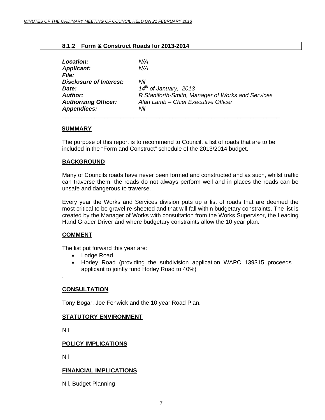#### **8.1.2 Form & Construct Roads for 2013-2014**

<span id="page-6-0"></span>

| <b>Location:</b>               | N/A                                               |
|--------------------------------|---------------------------------------------------|
| <b>Applicant:</b>              | N/A                                               |
| <i>File:</i>                   |                                                   |
| <b>Disclosure of Interest:</b> | Nil                                               |
| Date:                          | $14^{th}$ of January, 2013                        |
| <b>Author:</b>                 | R Staniforth-Smith, Manager of Works and Services |
| <b>Authorizing Officer:</b>    | Alan Lamb - Chief Executive Officer               |
| <b>Appendices:</b>             | Nil                                               |
|                                |                                                   |

#### **SUMMARY**

The purpose of this report is to recommend to Council, a list of roads that are to be included in the "Form and Construct" schedule of the 2013/2014 budget.

## **BACKGROUND**

Many of Councils roads have never been formed and constructed and as such, whilst traffic can traverse them, the roads do not always perform well and in places the roads can be unsafe and dangerous to traverse.

Every year the Works and Services division puts up a list of roads that are deemed the most critical to be gravel re-sheeted and that will fall within budgetary constraints. The list is created by the Manager of Works with consultation from the Works Supervisor, the Leading Hand Grader Driver and where budgetary constraints allow the 10 year plan.

## **COMMENT**

The list put forward this year are:

- Lodge Road
- Horley Road (providing the subdivision application WAPC 139315 proceeds applicant to jointly fund Horley Road to 40%)

#### **CONSULTATION**

Tony Bogar, Joe Fenwick and the 10 year Road Plan.

#### **STATUTORY ENVIRONMENT**

Nil

.

#### **POLICY IMPLICATIONS**

Nil

## **FINANCIAL IMPLICATIONS**

Nil, Budget Planning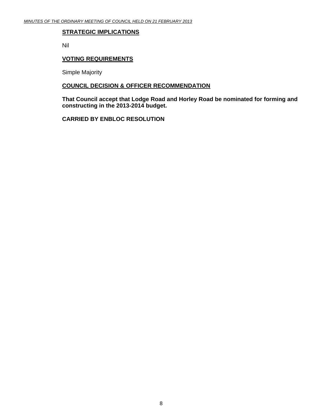#### **STRATEGIC IMPLICATIONS**

Nil

#### **VOTING REQUIREMENTS**

Simple Majority

# **COUNCIL DECISION & OFFICER RECOMMENDATION**

**That Council accept that Lodge Road and Horley Road be nominated for forming and constructing in the 2013-2014 budget.** 

**CARRIED BY ENBLOC RESOLUTION**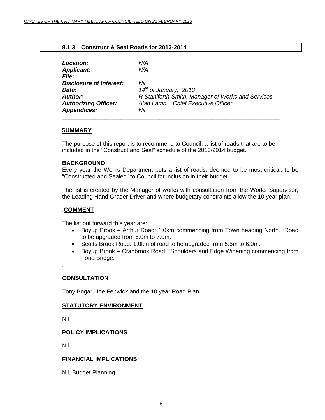#### **8.1.3 Construct & Seal Roads for 2013-2014**

<span id="page-8-0"></span>

| <b>Location:</b>               | N/A                                               |
|--------------------------------|---------------------------------------------------|
| <b>Applicant:</b>              | N/A                                               |
| <b>File:</b>                   |                                                   |
| <b>Disclosure of Interest:</b> | Nil                                               |
| Date:                          | $14^{th}$ of January, 2013                        |
| <b>Author:</b>                 | R Staniforth-Smith, Manager of Works and Services |
| <b>Authorizing Officer:</b>    | Alan Lamb - Chief Executive Officer               |
| <b>Appendices:</b>             | Nil                                               |
|                                |                                                   |

#### **SUMMARY**

The purpose of this report is to recommend to Council, a list of roads that are to be included in the "Construct and Seal" schedule of the 2013/2014 budget.

#### **BACKGROUND**

Every year the Works Department puts a list of roads, deemed to be most critical, to be "Constructed and Sealed" to Council for inclusion in their budget.

The list is created by the Manager of works with consultation from the Works Supervisor, the Leading Hand Grader Driver and where budgetary constraints allow the 10 year plan.

#### .**COMMENT**

The list put forward this year are:

- Boyup Brook Arthur Road: 1.0km commencing from Town heading North. Road to be upgraded from 6.0m to 7.0m.
- Scotts Brook Road: 1.0km of road to be upgraded from 5.5m to 6.0m.
- Boyup Brook Cranbrook Road: Shoulders and Edge Widening commencing from Tone Bridge.

.

## **CONSULTATION**

Tony Bogar, Joe Fenwick and the 10 year Road Plan.

#### **STATUTORY ENVIRONMENT**

Nil

## **POLICY IMPLICATIONS**

Nil

#### **FINANCIAL IMPLICATIONS**

Nil, Budget Planning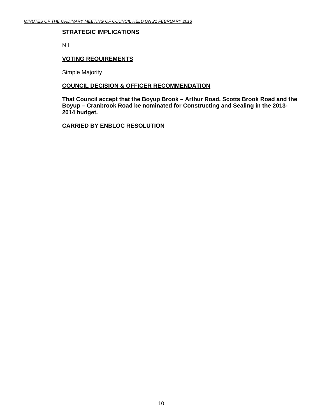#### **STRATEGIC IMPLICATIONS**

Nil

#### **VOTING REQUIREMENTS**

Simple Majority

# **COUNCIL DECISION & OFFICER RECOMMENDATION**

**That Council accept that the Boyup Brook – Arthur Road, Scotts Brook Road and the Boyup – Cranbrook Road be nominated for Constructing and Sealing in the 2013- 2014 budget.** 

 **CARRIED BY ENBLOC RESOLUTION**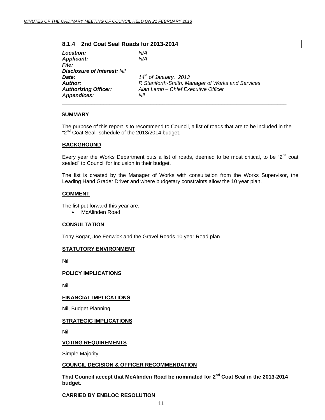#### **8.1.4 2nd Coat Seal Roads for 2013-2014**

<span id="page-10-0"></span>

| Location:                          | N/A                                               |
|------------------------------------|---------------------------------------------------|
| <b>Applicant:</b>                  | N/A                                               |
| <i>File:</i>                       |                                                   |
| <b>Disclosure of Interest: Nil</b> |                                                   |
| <b>Date:</b>                       | $14^{th}$ of January, 2013                        |
| Author:                            | R Staniforth-Smith, Manager of Works and Services |
| <b>Authorizing Officer:</b>        | Alan Lamb - Chief Executive Officer               |
| <b>Appendices:</b>                 | Nil                                               |
|                                    |                                                   |

#### **SUMMARY**

The purpose of this report is to recommend to Council, a list of roads that are to be included in the "2<sup>nd</sup> Coat Seal" schedule of the 2013/2014 budget.

#### **BACKGROUND**

Every year the Works Department puts a list of roads, deemed to be most critical, to be "2<sup>nd</sup> coat sealed" to Council for inclusion in their budget.

The list is created by the Manager of Works with consultation from the Works Supervisor, the Leading Hand Grader Driver and where budgetary constraints allow the 10 year plan.

#### **COMMENT**

The list put forward this year are:

• McAlinden Road

#### **CONSULTATION**

Tony Bogar, Joe Fenwick and the Gravel Roads 10 year Road plan.

#### **STATUTORY ENVIRONMENT**

Nil

#### **POLICY IMPLICATIONS**

Nil

#### **FINANCIAL IMPLICATIONS**

Nil, Budget Planning

#### **STRATEGIC IMPLICATIONS**

Nil

#### **VOTING REQUIREMENTS**

Simple Majority

#### **COUNCIL DECISION & OFFICER RECOMMENDATION**

**That Council accept that McAlinden Road be nominated for 2nd Coat Seal in the 2013-2014 budget.** 

#### **CARRIED BY ENBLOC RESOLUTION**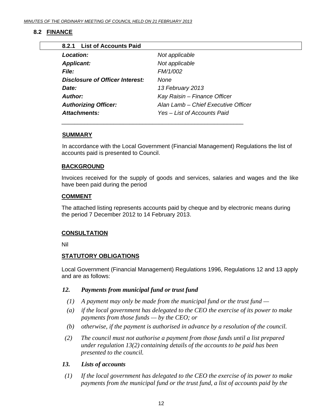# <span id="page-11-0"></span>**8.2 FINANCE**

| 8.2.1 List of Accounts Paid            |                                     |  |  |  |  |
|----------------------------------------|-------------------------------------|--|--|--|--|
| Location:                              | Not applicable                      |  |  |  |  |
| <b>Applicant:</b>                      | Not applicable                      |  |  |  |  |
| <i>File:</i>                           | FM/1/002                            |  |  |  |  |
| <b>Disclosure of Officer Interest:</b> | None                                |  |  |  |  |
| Date:                                  | 13 February 2013                    |  |  |  |  |
| Author:                                | Kay Raisin - Finance Officer        |  |  |  |  |
| <b>Authorizing Officer:</b>            | Alan Lamb - Chief Executive Officer |  |  |  |  |
| Attachments:                           | Yes – List of Accounts Paid         |  |  |  |  |
|                                        |                                     |  |  |  |  |

#### **SUMMARY**

In accordance with the Local Government (Financial Management) Regulations the list of accounts paid is presented to Council.

#### **BACKGROUND**

Invoices received for the supply of goods and services, salaries and wages and the like have been paid during the period

## **COMMENT**

The attached listing represents accounts paid by cheque and by electronic means during the period 7 December 2012 to 14 February 2013.

## **CONSULTATION**

Nil

## **STATUTORY OBLIGATIONS**

Local Government (Financial Management) Regulations 1996, Regulations 12 and 13 apply and are as follows:

#### *12. Payments from municipal fund or trust fund*

\_\_\_\_\_\_\_\_\_\_\_\_\_\_\_\_\_\_\_\_\_\_\_\_\_\_\_\_\_\_\_\_\_\_\_\_\_\_\_\_\_\_\_\_\_\_\_\_\_\_\_\_\_\_\_\_

- *(1) A payment may only be made from the municipal fund or the trust fund*
- *(a) if the local government has delegated to the CEO the exercise of its power to make payments from those funds — by the CEO; or*
- *(b) otherwise, if the payment is authorised in advance by a resolution of the council.*
- *(2) The council must not authorise a payment from those funds until a list prepared under regulation 13(2) containing details of the accounts to be paid has been presented to the council.*

## *13. Lists of accounts*

 *(1) If the local government has delegated to the CEO the exercise of its power to make payments from the municipal fund or the trust fund, a list of accounts paid by the*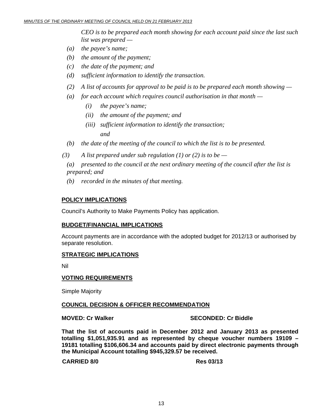*CEO is to be prepared each month showing for each account paid since the last such list was prepared —* 

- *(a) the payee's name;*
- *(b) the amount of the payment;*
- *(c) the date of the payment; and*
- *(d) sufficient information to identify the transaction.*
- *(2) A list of accounts for approval to be paid is to be prepared each month showing*
- *(a) for each account which requires council authorisation in that month* 
	- *(i) the payee's name;*
	- *(ii) the amount of the payment; and*
- *(iii) sufficient information to identify the transaction; and and* 
	- *(b) the date of the meeting of the council to which the list is to be presented.*
	- $(3)$  A list prepared under sub regulation (1) or (2) is to be —

 *(a) presented to the council at the next ordinary meeting of the council after the list is prepared; and* 

 *(b) recorded in the minutes of that meeting.* 

#### **POLICY IMPLICATIONS**

Council's Authority to Make Payments Policy has application.

#### **BUDGET/FINANCIAL IMPLICATIONS**

Account payments are in accordance with the adopted budget for 2012/13 or authorised by separate resolution.

#### **STRATEGIC IMPLICATIONS**

Nil

#### **VOTING REQUIREMENTS**

Simple Majority

#### **COUNCIL DECISION & OFFICER RECOMMENDATION**

**MOVED: Cr Walker SECONDED: Cr Biddle** 

**That the list of accounts paid in December 2012 and January 2013 as presented totalling \$1,051,935.91 and as represented by cheque voucher numbers 19109 – 19181 totalling \$106,606.34 and accounts paid by direct electronic payments through the Municipal Account totalling \$945,329.57 be received.** 

**CARRIED 8/0 Res 03/13**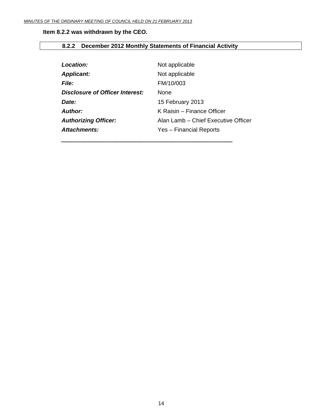# <span id="page-13-0"></span>**Item 8.2.2 was withdrawn by the CEO.**

# **8.2.2 December 2012 Monthly Statements of Financial Activity**

| Location:                       | Not applicable                      |
|---------------------------------|-------------------------------------|
| <b>Applicant:</b>               | Not applicable                      |
| <b>File:</b>                    | FM/10/003                           |
| Disclosure of Officer Interest: | <b>None</b>                         |
| Date:                           | 15 February 2013                    |
| <b>Author:</b>                  | K Raisin – Finance Officer          |
| <b>Authorizing Officer:</b>     | Alan Lamb - Chief Executive Officer |
| Attachments:                    | Yes - Financial Reports             |
|                                 |                                     |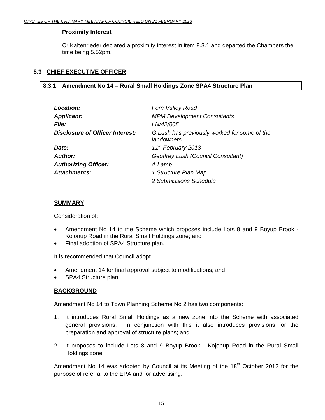# <span id="page-14-0"></span>**Proximity Interest**

Cr Kaltenrieder declared a proximity interest in item 8.3.1 and departed the Chambers the time being 5.52pm.

# **8.3 CHIEF EXECUTIVE OFFICER**

# **8.3.1 Amendment No 14 – Rural Small Holdings Zone SPA4 Structure Plan**

 *\_\_\_\_\_\_\_\_\_\_\_\_\_\_\_\_\_\_\_\_\_\_\_\_\_\_\_\_\_\_\_\_\_\_\_\_\_\_\_\_\_\_\_\_\_\_\_\_\_\_\_\_\_\_\_\_\_\_\_\_\_\_\_\_\_\_* 

| Location:                              | Fern Valley Road                                           |
|----------------------------------------|------------------------------------------------------------|
| <b>Applicant:</b>                      | <b>MPM Development Consultants</b>                         |
| <b>File:</b>                           | LN/42/005                                                  |
| <b>Disclosure of Officer Interest:</b> | G.Lush has previously worked for some of the<br>landowners |
| Date:                                  | 11 <sup>th</sup> February 2013                             |
| <b>Author:</b>                         | Geoffrey Lush (Council Consultant)                         |
| <b>Authorizing Officer:</b>            | A Lamb                                                     |
| <b>Attachments:</b>                    | 1 Structure Plan Map                                       |
|                                        | 2 Submissions Schedule                                     |

# **SUMMARY**

Consideration of:

- Amendment No 14 to the Scheme which proposes include Lots 8 and 9 Boyup Brook Kojonup Road in the Rural Small Holdings zone; and
- Final adoption of SPA4 Structure plan.

It is recommended that Council adopt

- Amendment 14 for final approval subject to modifications; and
- SPA4 Structure plan.

# **BACKGROUND**

Amendment No 14 to Town Planning Scheme No 2 has two components:

- 1. It introduces Rural Small Holdings as a new zone into the Scheme with associated general provisions. In conjunction with this it also introduces provisions for the preparation and approval of structure plans; and
- 2. It proposes to include Lots 8 and 9 Boyup Brook Kojonup Road in the Rural Small Holdings zone.

Amendment No 14 was adopted by Council at its Meeting of the 18<sup>th</sup> October 2012 for the purpose of referral to the EPA and for advertising.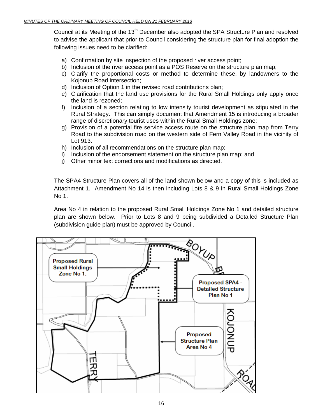Council at its Meeting of the 13<sup>th</sup> December also adopted the SPA Structure Plan and resolved to advise the applicant that prior to Council considering the structure plan for final adoption the following issues need to be clarified:

- a) Confirmation by site inspection of the proposed river access point;
- b) Inclusion of the river access point as a POS Reserve on the structure plan map;
- c) Clarify the proportional costs or method to determine these, by landowners to the Kojonup Road intersection;
- d) Inclusion of Option 1 in the revised road contributions plan;
- e) Clarification that the land use provisions for the Rural Small Holdings only apply once the land is rezoned;
- f) Inclusion of a section relating to low intensity tourist development as stipulated in the Rural Strategy. This can simply document that Amendment 15 is introducing a broader range of discretionary tourist uses within the Rural Small Holdings zone;
- g) Provision of a potential fire service access route on the structure plan map from Terry Road to the subdivision road on the western side of Fern Valley Road in the vicinity of Lot 913.
- h) Inclusion of all recommendations on the structure plan map;
- i) Inclusion of the endorsement statement on the structure plan map; and
- j) Other minor text corrections and modifications as directed.

The SPA4 Structure Plan covers all of the land shown below and a copy of this is included as Attachment 1. Amendment No 14 is then including Lots 8 & 9 in Rural Small Holdings Zone No 1.

Area No 4 in relation to the proposed Rural Small Holdings Zone No 1 and detailed structure plan are shown below. Prior to Lots 8 and 9 being subdivided a Detailed Structure Plan (subdivision guide plan) must be approved by Council.

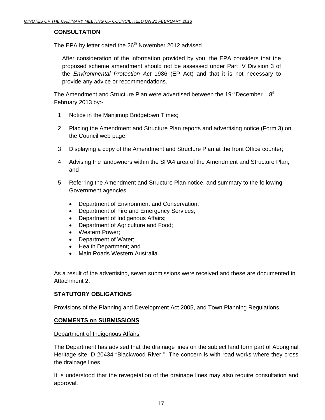# **CONSULTATION**

The EPA by letter dated the 26<sup>th</sup> November 2012 advised

After consideration of the information provided by you, the EPA considers that the proposed scheme amendment should not be assessed under Part IV Division 3 of the *Environmental Protection Act* 1986 (EP Act) and that it is not necessary to provide any advice or recommendations.

The Amendment and Structure Plan were advertised between the 19<sup>th</sup> December –  $8<sup>th</sup>$ February 2013 by:-

- 1 Notice in the Manjimup Bridgetown Times;
- 2 Placing the Amendment and Structure Plan reports and advertising notice (Form 3) on the Council web page;
- 3 Displaying a copy of the Amendment and Structure Plan at the front Office counter;
- 4 Advising the landowners within the SPA4 area of the Amendment and Structure Plan; and
- 5 Referring the Amendment and Structure Plan notice, and summary to the following Government agencies.
	- Department of Environment and Conservation;
	- Department of Fire and Emergency Services;
	- Department of Indigenous Affairs;
	- Department of Agriculture and Food;
	- Western Power;
	- Department of Water;
	- Health Department; and
	- Main Roads Western Australia.

As a result of the advertising, seven submissions were received and these are documented in Attachment 2.

# **STATUTORY OBLIGATIONS**

Provisions of the Planning and Development Act 2005, and Town Planning Regulations.

## **COMMENTS on SUBMISSIONS**

#### Department of Indigenous Affairs

The Department has advised that the drainage lines on the subject land form part of Aboriginal Heritage site ID 20434 "Blackwood River." The concern is with road works where they cross the drainage lines.

It is understood that the revegetation of the drainage lines may also require consultation and approval.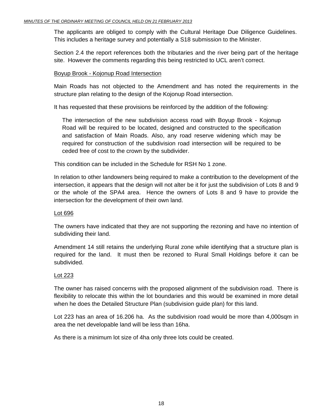The applicants are obliged to comply with the Cultural Heritage Due Diligence Guidelines. This includes a heritage survey and potentially a S18 submission to the Minister.

Section 2.4 the report references both the tributaries and the river being part of the heritage site. However the comments regarding this being restricted to UCL aren't correct.

#### Boyup Brook - Kojonup Road Intersection

Main Roads has not objected to the Amendment and has noted the requirements in the structure plan relating to the design of the Kojonup Road intersection.

It has requested that these provisions be reinforced by the addition of the following:

The intersection of the new subdivision access road with Boyup Brook - Kojonup Road will be required to be located, designed and constructed to the specification and satisfaction of Main Roads. Also, any road reserve widening which may be required for construction of the subdivision road intersection will be required to be ceded free of cost to the crown by the subdivider.

This condition can be included in the Schedule for RSH No 1 zone.

In relation to other landowners being required to make a contribution to the development of the intersection, it appears that the design will not alter be it for just the subdivision of Lots 8 and 9 or the whole of the SPA4 area. Hence the owners of Lots 8 and 9 have to provide the intersection for the development of their own land.

#### Lot 696

The owners have indicated that they are not supporting the rezoning and have no intention of subdividing their land.

Amendment 14 still retains the underlying Rural zone while identifying that a structure plan is required for the land. It must then be rezoned to Rural Small Holdings before it can be subdivided.

## Lot 223

The owner has raised concerns with the proposed alignment of the subdivision road. There is flexibility to relocate this within the lot boundaries and this would be examined in more detail when he does the Detailed Structure Plan (subdivision guide plan) for this land.

Lot 223 has an area of 16.206 ha. As the subdivision road would be more than 4,000sqm in area the net developable land will be less than 16ha.

As there is a minimum lot size of 4ha only three lots could be created.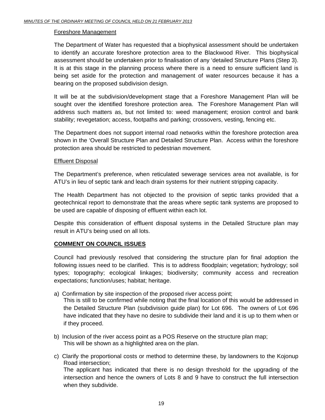#### Foreshore Management

The Department of Water has requested that a biophysical assessment should be undertaken to identify an accurate foreshore protection area to the Blackwood River. This biophysical assessment should be undertaken prior to finalisation of any 'detailed Structure Plans (Step 3). It is at this stage in the planning process where there is a need to ensure sufficient land is being set aside for the protection and management of water resources because it has a bearing on the proposed subdivision design.

It will be at the subdivision/development stage that a Foreshore Management Plan will be sought over the identified foreshore protection area. The Foreshore Management Plan will address such matters as, but not limited to: weed management; erosion control and bank stability; revegetation; access, footpaths and parking; crossovers, vesting, fencing etc.

The Department does not support internal road networks within the foreshore protection area shown in the 'Overall Structure Plan and Detailed Structure Plan. Access within the foreshore protection area should be restricted to pedestrian movement.

#### Effluent Disposal

The Department's preference, when reticulated sewerage services area not available, is for ATU's in lieu of septic tank and leach drain systems for their nutrient stripping capacity.

The Health Department has not objected to the provision of septic tanks provided that a geotechnical report to demonstrate that the areas where septic tank systems are proposed to be used are capable of disposing of effluent within each lot.

Despite this consideration of effluent disposal systems in the Detailed Structure plan may result in ATU's being used on all lots.

#### **COMMENT ON COUNCIL ISSUES**

Council had previously resolved that considering the structure plan for final adoption the following issues need to be clarified. This is to address floodplain; vegetation; hydrology; soil types; topography; ecological linkages; biodiversity; community access and recreation expectations; function/uses; habitat; heritage.

a) Confirmation by site inspection of the proposed river access point;

This is still to be confirmed while noting that the final location of this would be addressed in the Detailed Structure Plan (subdivision guide plan) for Lot 696. The owners of Lot 696 have indicated that they have no desire to subdivide their land and it is up to them when or if they proceed.

- b) Inclusion of the river access point as a POS Reserve on the structure plan map; This will be shown as a highlighted area on the plan.
- c) Clarify the proportional costs or method to determine these, by landowners to the Kojonup Road intersection; The applicant has indicated that there is no design threshold for the upgrading of the intersection and hence the owners of Lots 8 and 9 have to construct the full intersection when they subdivide.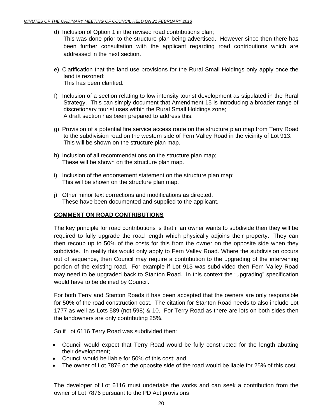- d) Inclusion of Option 1 in the revised road contributions plan; This was done prior to the structure plan being advertised. However since then there has been further consultation with the applicant regarding road contributions which are addressed in the next section.
- e) Clarification that the land use provisions for the Rural Small Holdings only apply once the land is rezoned; This has been clarified.
- f) Inclusion of a section relating to low intensity tourist development as stipulated in the Rural Strategy. This can simply document that Amendment 15 is introducing a broader range of discretionary tourist uses within the Rural Small Holdings zone; A draft section has been prepared to address this.
- g) Provision of a potential fire service access route on the structure plan map from Terry Road to the subdivision road on the western side of Fern Valley Road in the vicinity of Lot 913. This will be shown on the structure plan map.
- h) Inclusion of all recommendations on the structure plan map; These will be shown on the structure plan map.
- i) Inclusion of the endorsement statement on the structure plan map; This will be shown on the structure plan map.
- j) Other minor text corrections and modifications as directed. These have been documented and supplied to the applicant.

# **COMMENT ON ROAD CONTRIBUTIONS**

The key principle for road contributions is that if an owner wants to subdivide then they will be required to fully upgrade the road length which physically adjoins their property. They can then recoup up to 50% of the costs for this from the owner on the opposite side when they subdivide. In reality this would only apply to Fern Valley Road. Where the subdivision occurs out of sequence, then Council may require a contribution to the upgrading of the intervening portion of the existing road. For example if Lot 913 was subdivided then Fern Valley Road may need to be upgraded back to Stanton Road. In this context the "upgrading" specification would have to be defined by Council.

For both Terry and Stanton Roads it has been accepted that the owners are only responsible for 50% of the road construction cost. The citation for Stanton Road needs to also include Lot 1777 as well as Lots 589 (not 598) & 10. For Terry Road as there are lots on both sides then the landowners are only contributing 25%.

So if Lot 6116 Terry Road was subdivided then:

- Council would expect that Terry Road would be fully constructed for the length abutting their development;
- Council would be liable for 50% of this cost; and
- The owner of Lot 7876 on the opposite side of the road would be liable for 25% of this cost.

The developer of Lot 6116 must undertake the works and can seek a contribution from the owner of Lot 7876 pursuant to the PD Act provisions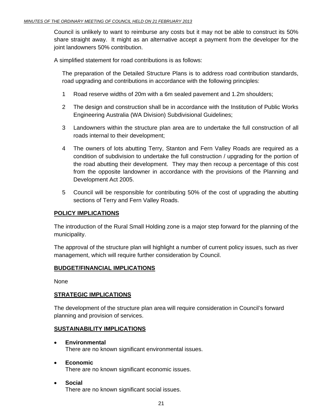Council is unlikely to want to reimburse any costs but it may not be able to construct its 50% share straight away. It might as an alternative accept a payment from the developer for the joint landowners 50% contribution.

A simplified statement for road contributions is as follows:

The preparation of the Detailed Structure Plans is to address road contribution standards, road upgrading and contributions in accordance with the following principles:

- 1 Road reserve widths of 20m with a 6m sealed pavement and 1.2m shoulders;
- 2 The design and construction shall be in accordance with the Institution of Public Works Engineering Australia (WA Division) Subdivisional Guidelines;
- 3 Landowners within the structure plan area are to undertake the full construction of all roads internal to their development;
- 4 The owners of lots abutting Terry, Stanton and Fern Valley Roads are required as a condition of subdivision to undertake the full construction / upgrading for the portion of the road abutting their development. They may then recoup a percentage of this cost from the opposite landowner in accordance with the provisions of the Planning and Development Act 2005.
- 5 Council will be responsible for contributing 50% of the cost of upgrading the abutting sections of Terry and Fern Valley Roads.

# **POLICY IMPLICATIONS**

The introduction of the Rural Small Holding zone is a major step forward for the planning of the municipality.

The approval of the structure plan will highlight a number of current policy issues, such as river management, which will require further consideration by Council.

## **BUDGET/FINANCIAL IMPLICATIONS**

None

## **STRATEGIC IMPLICATIONS**

The development of the structure plan area will require consideration in Council's forward planning and provision of services.

## **SUSTAINABILITY IMPLICATIONS**

- • **Environmental**  There are no known significant environmental issues.
- • **Economic**  There are no known significant economic issues.
- • **Social**  There are no known significant social issues.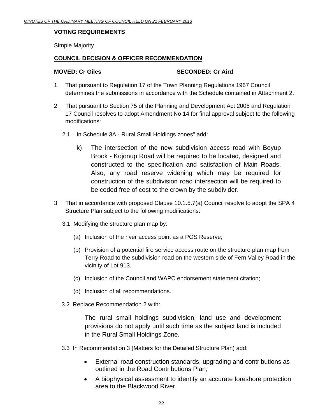## **VOTING REQUIREMENTS**

Simple Majority

## **COUNCIL DECISION & OFFICER RECOMMENDATION**

#### **MOVED: Cr Giles SECONDED: Cr Aird 3**

- 1. That pursuant to Regulation 17 of the Town Planning Regulations 1967 Council determines the submissions in accordance with the Schedule contained in Attachment 2.
- 2. That pursuant to Section 75 of the Planning and Development Act 2005 and Regulation 17 Council resolves to adopt Amendment No 14 for final approval subject to the following modifications:
	- 2.1 In Schedule 3A Rural Small Holdings zones" add:
		- k) The intersection of the new subdivision access road with Boyup Brook - Kojonup Road will be required to be located, designed and constructed to the specification and satisfaction of Main Roads. Also, any road reserve widening which may be required for construction of the subdivision road intersection will be required to be ceded free of cost to the crown by the subdivider.
- 3 That in accordance with proposed Clause 10.1.5.7(a) Council resolve to adopt the SPA 4 Structure Plan subject to the following modifications:
	- 3.1 Modifying the structure plan map by:
		- (a) Inclusion of the river access point as a POS Reserve;
		- (b) Provision of a potential fire service access route on the structure plan map from Terry Road to the subdivision road on the western side of Fern Valley Road in the vicinity of Lot 913.
		- (c) Inclusion of the Council and WAPC endorsement statement citation;
		- (d) Inclusion of all recommendations.
	- 3.2 Replace Recommendation 2 with:

The rural small holdings subdivision, land use and development provisions do not apply until such time as the subject land is included in the Rural Small Holdings Zone.

- 3.3 In Recommendation 3 (Matters for the Detailed Structure Plan) add:
	- External road construction standards, upgrading and contributions as outlined in the Road Contributions Plan;
	- A biophysical assessment to identify an accurate foreshore protection area to the Blackwood River.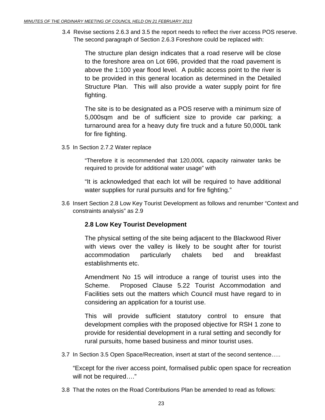3.4 Revise sections 2.6.3 and 3.5 the report needs to reflect the river access POS reserve. The second paragraph of Section 2.6.3 Foreshore could be replaced with:

The structure plan design indicates that a road reserve will be close to the foreshore area on Lot 696, provided that the road pavement is above the 1:100 year flood level. A public access point to the river is to be provided in this general location as determined in the Detailed Structure Plan. This will also provide a water supply point for fire fighting.

 The site is to be designated as a POS reserve with a minimum size of 5,000sqm and be of sufficient size to provide car parking; a turnaround area for a heavy duty fire truck and a future 50,000L tank for fire fighting.

3.5 In Section 2.7.2 Water replace

 "Therefore it is recommended that 120,000L capacity rainwater tanks be required to provide for additional water usage" with

"It is acknowledged that each lot will be required to have additional water supplies for rural pursuits and for fire fighting."

3.6 Insert Section 2.8 Low Key Tourist Development as follows and renumber "Context and constraints analysis" as 2.9

# **2.8 Low Key Tourist Development**

 The physical setting of the site being adjacent to the Blackwood River with views over the valley is likely to be sought after for tourist accommodation particularly chalets bed and breakfast establishments etc.

 Amendment No 15 will introduce a range of tourist uses into the Scheme. Proposed Clause 5.22 Tourist Accommodation and Facilities sets out the matters which Council must have regard to in considering an application for a tourist use.

 This will provide sufficient statutory control to ensure that development complies with the proposed objective for RSH 1 zone to provide for residential development in a rural setting and secondly for rural pursuits, home based business and minor tourist uses.

3.7 In Section 3.5 Open Space/Recreation, insert at start of the second sentence…..

"Except for the river access point, formalised public open space for recreation will not be required…."

3.8 That the notes on the Road Contributions Plan be amended to read as follows: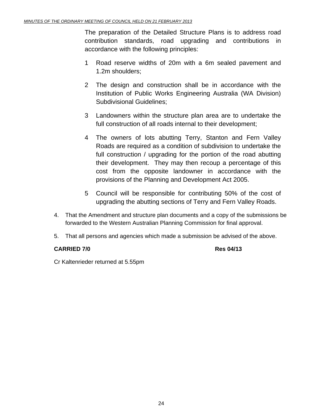The preparation of the Detailed Structure Plans is to address road contribution standards, road upgrading and contributions in accordance with the following principles:

- 1 Road reserve widths of 20m with a 6m sealed pavement and 1.2m shoulders;
- 2 The design and construction shall be in accordance with the Institution of Public Works Engineering Australia (WA Division) Subdivisional Guidelines;
- 3 Landowners within the structure plan area are to undertake the full construction of all roads internal to their development;
- 4 The owners of lots abutting Terry, Stanton and Fern Valley Roads are required as a condition of subdivision to undertake the full construction / upgrading for the portion of the road abutting their development. They may then recoup a percentage of this cost from the opposite landowner in accordance with the provisions of the Planning and Development Act 2005.
- 5 Council will be responsible for contributing 50% of the cost of upgrading the abutting sections of Terry and Fern Valley Roads.
- 4. That the Amendment and structure plan documents and a copy of the submissions be forwarded to the Western Australian Planning Commission for final approval.
- 5. That all persons and agencies which made a submission be advised of the above.

# **CARRIED 7/0 Res 04/13**

Cr Kaltenrieder returned at 5.55pm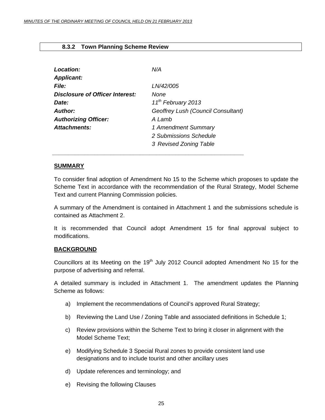# <span id="page-24-0"></span> **8.3.2 Town Planning Scheme Review**

| Location:<br><b>Applicant:</b>         | N/A                                |
|----------------------------------------|------------------------------------|
| <b>File:</b>                           | LN/42/005                          |
| <b>Disclosure of Officer Interest:</b> | None                               |
| Date:                                  | 11 <sup>th</sup> February 2013     |
| Author:                                | Geoffrey Lush (Council Consultant) |
| <b>Authorizing Officer:</b>            | A Lamb                             |
| Attachments:                           | 1 Amendment Summary                |
|                                        | 2 Submissions Schedule             |
|                                        | 3 Revised Zoning Table             |

 *\_\_\_\_\_\_\_\_\_\_\_\_\_\_\_\_\_\_\_\_\_\_\_\_\_\_\_\_\_\_\_\_\_\_\_\_\_\_\_\_\_\_\_\_\_\_\_\_\_\_\_\_\_\_\_\_\_\_\_* 

#### **SUMMARY**

To consider final adoption of Amendment No 15 to the Scheme which proposes to update the Scheme Text in accordance with the recommendation of the Rural Strategy, Model Scheme Text and current Planning Commission policies.

A summary of the Amendment is contained in Attachment 1 and the submissions schedule is contained as Attachment 2.

It is recommended that Council adopt Amendment 15 for final approval subject to modifications.

## **BACKGROUND**

Councillors at its Meeting on the 19<sup>th</sup> July 2012 Council adopted Amendment No 15 for the purpose of advertising and referral.

A detailed summary is included in Attachment 1. The amendment updates the Planning Scheme as follows:

- a) Implement the recommendations of Council's approved Rural Strategy;
- b) Reviewing the Land Use / Zoning Table and associated definitions in Schedule 1;
- c) Review provisions within the Scheme Text to bring it closer in alignment with the Model Scheme Text;
- e) Modifying Schedule 3 Special Rural zones to provide consistent land use designations and to include tourist and other ancillary uses
- d) Update references and terminology; and
- e) Revising the following Clauses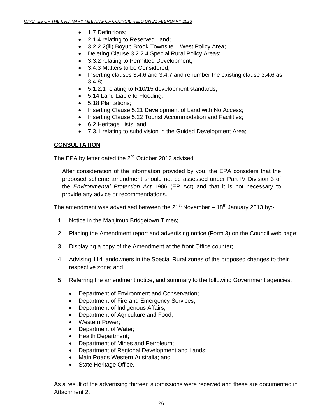- 1.7 Definitions:
- 2.1.4 relating to Reserved Land;
- 3.2.2.2(iii) Boyup Brook Townsite West Policy Area;
- Deleting Clause 3.2.2.4 Special Rural Policy Areas;
- 3.3.2 relating to Permitted Development;
- 3.4.3 Matters to be Considered;
- Inserting clauses 3.4.6 and 3.4.7 and renumber the existing clause 3.4.6 as 3.4.8;
- 5.1.2.1 relating to R10/15 development standards;
- 5.14 Land Liable to Flooding;
- 5.18 Plantations;
- Inserting Clause 5.21 Development of Land with No Access;
- Inserting Clause 5.22 Tourist Accommodation and Facilities;
- 6.2 Heritage Lists; and
- 7.3.1 relating to subdivision in the Guided Development Area;

## **CONSULTATION**

The EPA by letter dated the  $2^{nd}$  October 2012 advised

After consideration of the information provided by you, the EPA considers that the proposed scheme amendment should not be assessed under Part IV Division 3 of the *Environmental Protection Act* 1986 (EP Act) and that it is not necessary to provide any advice or recommendations.

The amendment was advertised between the 21<sup>st</sup> November – 18<sup>th</sup> January 2013 by:-

- 1 Notice in the Manjimup Bridgetown Times;
- 2 Placing the Amendment report and advertising notice (Form 3) on the Council web page;
- 3 Displaying a copy of the Amendment at the front Office counter;
- 4 Advising 114 landowners in the Special Rural zones of the proposed changes to their respective zone; and
- 5 Referring the amendment notice, and summary to the following Government agencies.
	- Department of Environment and Conservation;
	- Department of Fire and Emergency Services;
	- Department of Indigenous Affairs;
	- Department of Agriculture and Food;
	- Western Power;
	- Department of Water;
	- Health Department;
	- Department of Mines and Petroleum;
	- Department of Regional Development and Lands;
	- Main Roads Western Australia; and
	- State Heritage Office.

As a result of the advertising thirteen submissions were received and these are documented in Attachment 2.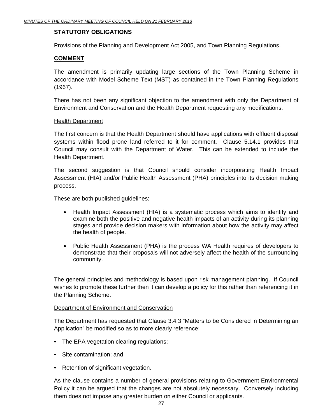# **STATUTORY OBLIGATIONS**

Provisions of the Planning and Development Act 2005, and Town Planning Regulations.

# **COMMENT**

The amendment is primarily updating large sections of the Town Planning Scheme in accordance with Model Scheme Text (MST) as contained in the Town Planning Regulations (1967).

There has not been any significant objection to the amendment with only the Department of Environment and Conservation and the Health Department requesting any modifications.

#### Health Department

The first concern is that the Health Department should have applications with effluent disposal systems within flood prone land referred to it for comment. Clause 5.14.1 provides that Council may consult with the Department of Water. This can be extended to include the Health Department.

The second suggestion is that Council should consider incorporating Health Impact Assessment (HIA) and/or Public Health Assessment (PHA) principles into its decision making process.

These are both published guidelines:

- Health Impact Assessment (HIA) is a systematic process which aims to identify and examine both the positive and negative health impacts of an activity during its planning stages and provide decision makers with information about how the activity may affect the health of people.
- Public Health Assessment (PHA) is the process WA Health requires of developers to demonstrate that their proposals will not adversely affect the health of the surrounding community.

The general principles and methodology is based upon risk management planning. If Council wishes to promote these further then it can develop a policy for this rather than referencing it in the Planning Scheme.

#### Department of Environment and Conservation

The Department has requested that Clause 3.4.3 "Matters to be Considered in Determining an Application" be modified so as to more clearly reference:

- The EPA vegetation clearing regulations;
- Site contamination; and
- Retention of significant vegetation.

As the clause contains a number of general provisions relating to Government Environmental Policy it can be argued that the changes are not absolutely necessary. Conversely including them does not impose any greater burden on either Council or applicants.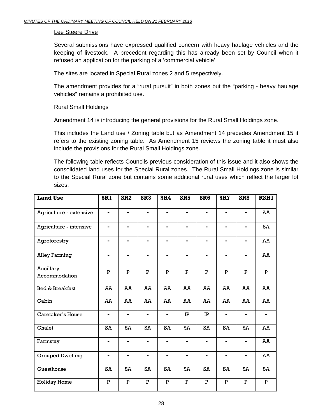#### Lee Steere Drive

Several submissions have expressed qualified concern with heavy haulage vehicles and the keeping of livestock. A precedent regarding this has already been set by Council when it refused an application for the parking of a 'commercial vehicle'.

The sites are located in Special Rural zones 2 and 5 respectively.

The amendment provides for a "rural pursuit" in both zones but the "parking - heavy haulage vehicles" remains a prohibited use.

## Rural Small Holdings

Amendment 14 is introducing the general provisions for the Rural Small Holdings zone.

This includes the Land use / Zoning table but as Amendment 14 precedes Amendment 15 it refers to the existing zoning table. As Amendment 15 reviews the zoning table it must also include the provisions for the Rural Small Holdings zone.

The following table reflects Councils previous consideration of this issue and it also shows the consolidated land uses for the Special Rural zones. The Rural Small Holdings zone is similar to the Special Rural zone but contains some additional rural uses which reflect the larger lot sizes.

| <b>Land Use</b>            | SR1            | SR <sub>2</sub> | SR <sub>3</sub> | SR4            | SR <sub>5</sub> | SR <sub>6</sub> | SR <sub>7</sub>         | SR <sub>8</sub> | <b>RSH1</b>  |
|----------------------------|----------------|-----------------|-----------------|----------------|-----------------|-----------------|-------------------------|-----------------|--------------|
| Agriculture - extensive    | $\blacksquare$ | $\blacksquare$  | $\blacksquare$  | $\blacksquare$ | $\blacksquare$  | $\blacksquare$  |                         |                 | AA           |
| Agriculture - intensive    |                |                 |                 |                |                 |                 |                         |                 | SA           |
| Agroforestry               | -              | $\blacksquare$  | $\blacksquare$  | $\blacksquare$ | $\blacksquare$  | -               | -                       |                 | AA           |
| <b>Alley Farming</b>       | -              |                 |                 |                |                 |                 |                         |                 | AA           |
| Ancillary<br>Accommodation | P              | ${\bf P}$       | P               | $\mathbf P$    | $\mathbf P$     | P               | P                       | P               | P            |
| <b>Bed &amp; Breakfast</b> | AA             | AA              | AA              | AA             | AA              | AA              | AA                      | AA              | AA           |
| Cabin                      | AA             | AA              | AA              | AA             | AA              | AA              | AA                      | AA              | AA           |
| Caretaker's House          | ÷,             | $\blacksquare$  | $\blacksquare$  | $\blacksquare$ | $\rm IP$        | $\rm IP$        | ۰                       |                 |              |
| Chalet                     | SA             | SA              | SA              | SA             | SA              | SA              | SA                      | SA              | AA           |
| Farmstay                   | ۰              | $\blacksquare$  | $\blacksquare$  | $\blacksquare$ | $\blacksquare$  | $\blacksquare$  | Ξ.                      | $\blacksquare$  | AA           |
| <b>Grouped Dwelling</b>    | -              |                 | -               |                |                 |                 |                         |                 | AA           |
| Guesthouse                 | SA             | SA              | SA              | SA             | SA              | SA              | SA                      | SA              | SA           |
| <b>Holiday Home</b>        | $\mathbf{P}$   | ${\bf P}$       | ${\bf P}$       | $\overline{P}$ | ${\bf P}$       | ${\bf P}$       | $\overline{\mathbf{P}}$ | $\mathbf{P}$    | $\mathbf{P}$ |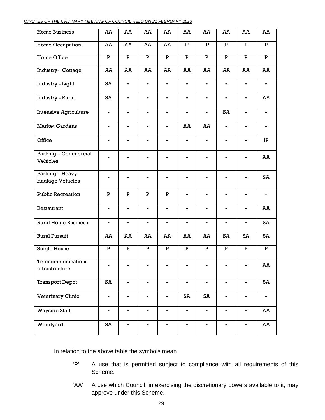| MINUTES OF THE ORDINARY MEETING OF COUNCIL HELD ON 21 FEBRUARY 2013 |
|---------------------------------------------------------------------|
|---------------------------------------------------------------------|

| <b>Home Business</b>                       | AA             | AA                      | AA             | AA             | AA             | AA             | AA                           | AA             | AA             |
|--------------------------------------------|----------------|-------------------------|----------------|----------------|----------------|----------------|------------------------------|----------------|----------------|
| Home Occupation                            | AA             | AA                      | AA             | AA             | $\rm IP$       | IP             | $\, {\bf P}$                 | ${\bf P}$      | ${\bf P}$      |
| Home Office                                | $\mathbf{P}$   | ${\bf P}$               | ${\bf P}$      | ${\bf P}$      | ${\bf P}$      | ${\bf P}$      | ${\bf P}$                    | $\overline{P}$ | $\mathbf P$    |
| Industry- Cottage                          | AA             | AA                      | AA             | AA             | AA             | AA             | AA                           | AA             | AA             |
| Industry - Light                           | SA             | Ξ,                      |                | $\blacksquare$ | $\blacksquare$ | $\blacksquare$ | $\blacksquare$               | Ξ.             | $\blacksquare$ |
| Industry - Rural                           | SA             | Ξ,                      |                | ۰              | Ξ,             | $\blacksquare$ | $\blacksquare$               | ۰              | AA             |
| <b>Intensive Agriculture</b>               | -              | $\blacksquare$          | -              | -              | $\blacksquare$ |                | SA                           |                |                |
| <b>Market Gardens</b>                      | ÷              | ÷,                      |                | $\blacksquare$ | AA             | AA             | $\qquad \qquad \blacksquare$ | $\blacksquare$ | $\blacksquare$ |
| Office                                     | -              |                         |                | -              |                |                |                              |                | $\rm IP$       |
| Parking - Commercial<br>Vehicles           |                |                         |                | -              |                |                |                              |                | AA             |
| Parking - Heavy<br><b>Haulage Vehicles</b> |                |                         |                |                |                |                |                              |                | SA             |
| <b>Public Recreation</b>                   | $\mathbf P$    | $\overline{\mathbf{P}}$ | $\mathbf P$    | $\mathbf P$    |                |                |                              |                |                |
| Restaurant                                 | $\blacksquare$ | Ξ,                      | $\blacksquare$ | ۰              | ۰              | ۰              | -                            | -              | AA             |
| <b>Rural Home Business</b>                 |                | $\blacksquare$          |                |                | $\blacksquare$ |                |                              |                | SA             |
| Rural Pursuit                              | AA             | AA                      | AA             | AA             | AA             | AA             | SA                           | SA             | SA             |
| Single House                               | P              | P                       | P              | P              | P              | ${\bf P}$      | P                            | P              | P              |
| Telecommunications<br>Infrastructure       | -              |                         |                |                |                |                | -                            | -              | AA             |
| <b>Transport Depot</b>                     | SA             | -                       | -              | -              | -              | ۰              | ۰                            | -              | SA             |
| Veterinary Clinic                          | -              | -                       | -              | -              | SA             | SA             | -                            | Ξ.             | -              |
| <b>Wayside Stall</b>                       | -              | ۰                       |                | -              | ۰              | ۰              | ۰                            | ۰              | AA             |
| Woodyard                                   | SA             |                         |                |                |                |                |                              |                | AA             |

In relation to the above table the symbols mean

- 'P' A use that is permitted subject to compliance with all requirements of this Scheme.
- 'AA' A use which Council, in exercising the discretionary powers available to it, may approve under this Scheme.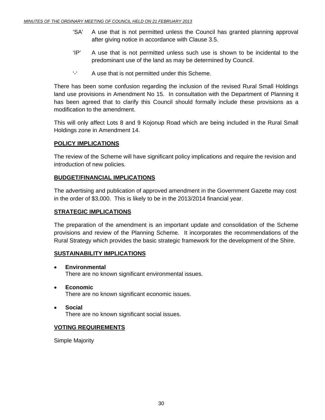- 'SA' A use that is not permitted unless the Council has granted planning approval after giving notice in accordance with Clause 3.5.
- 'IP' A use that is not permitted unless such use is shown to be incidental to the predominant use of the land as may be determined by Council.
- '-' A use that is not permitted under this Scheme.

There has been some confusion regarding the inclusion of the revised Rural Small Holdings land use provisions in Amendment No 15. In consultation with the Department of Planning it has been agreed that to clarify this Council should formally include these provisions as a modification to the amendment.

This will only affect Lots 8 and 9 Kojonup Road which are being included in the Rural Small Holdings zone in Amendment 14.

# **POLICY IMPLICATIONS**

The review of the Scheme will have significant policy implications and require the revision and introduction of new policies.

# **BUDGET/FINANCIAL IMPLICATIONS**

The advertising and publication of approved amendment in the Government Gazette may cost in the order of \$3,000. This is likely to be in the 2013/2014 financial year.

# **STRATEGIC IMPLICATIONS**

The preparation of the amendment is an important update and consolidation of the Scheme provisions and review of the Planning Scheme. It incorporates the recommendations of the Rural Strategy which provides the basic strategic framework for the development of the Shire.

# **SUSTAINABILITY IMPLICATIONS**

- • **Environmental**  There are no known significant environmental issues.
- • **Economic**  There are no known significant economic issues.
- • **Social**  There are no known significant social issues.

# **VOTING REQUIREMENTS**

Simple Majority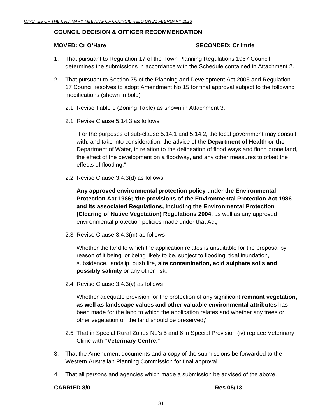#### **COUNCIL DECISION & OFFICER RECOMMENDATION**

#### **MOVED: Cr O'Hare SECONDED: Cr Imrie 2014**

- 1. That pursuant to Regulation 17 of the Town Planning Regulations 1967 Council determines the submissions in accordance with the Schedule contained in Attachment 2.
- 2. That pursuant to Section 75 of the Planning and Development Act 2005 and Regulation 17 Council resolves to adopt Amendment No 15 for final approval subject to the following modifications (shown in bold)
	- 2.1 Revise Table 1 (Zoning Table) as shown in Attachment 3.
	- 2.1 Revise Clause 5.14.3 as follows

 "For the purposes of sub-clause 5.14.1 and 5.14.2, the local government may consult with, and take into consideration, the advice of the **Department of Health or the** Department of Water, in relation to the delineation of flood ways and flood prone land, the effect of the development on a floodway, and any other measures to offset the effects of flooding."

2.2 Revise Clause 3.4.3(d) as follows

**Any approved environmental protection policy under the Environmental Protection Act 1986; 'the provisions of the Environmental Protection Act 1986 and its associated Regulations, including the Environmental Protection (Clearing of Native Vegetation) Regulations 2004,** as well as any approved environmental protection policies made under that Act;

2.3 Revise Clause 3.4.3(m) as follows

 Whether the land to which the application relates is unsuitable for the proposal by reason of it being, or being likely to be, subject to flooding, tidal inundation, subsidence, landslip, bush fire, **site contamination, acid sulphate soils and possibly salinity** or any other risk;

2.4 Revise Clause 3.4.3(v) as follows

 Whether adequate provision for the protection of any significant **remnant vegetation, as well as landscape values and other valuable environmental attributes** has been made for the land to which the application relates and whether any trees or other vegetation on the land should be preserved;'

- 2.5 That in Special Rural Zones No's 5 and 6 in Special Provision (iv) replace Veterinary Clinic with **"Veterinary Centre."**
- 3. That the Amendment documents and a copy of the submissions be forwarded to the Western Australian Planning Commission for final approval.
- 4 That all persons and agencies which made a submission be advised of the above.

#### **CARRIED 8/0 Res 05/13**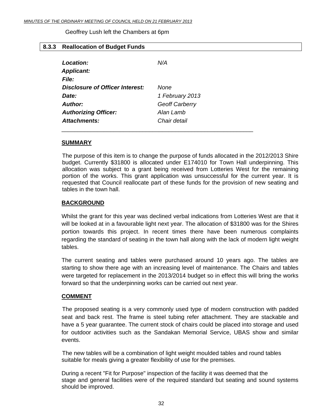Geoffrey Lush left the Chambers at 6pm

#### <span id="page-31-0"></span>**8.3.3 Reallocation of Budget Funds**

| <b>Location:</b>                | N/A             |
|---------------------------------|-----------------|
| <b>Applicant:</b>               |                 |
| File:                           |                 |
| Disclosure of Officer Interest: | None            |
| Date:                           | 1 February 2013 |
| Author:                         | Geoff Carberry  |
| <b>Authorizing Officer:</b>     | Alan Lamb       |
| Attachments:                    | Chair detail    |

#### **SUMMARY**

The purpose of this item is to change the purpose of funds allocated in the 2012/2013 Shire budget. Currently \$31800 is allocated under E174010 for Town Hall underpinning. This allocation was subject to a grant being received from Lotteries West for the remaining portion of the works. This grant application was unsuccessful for the current year. It is requested that Council reallocate part of these funds for the provision of new seating and tables in the town hall.

#### **BACKGROUND**

Whilst the grant for this year was declined verbal indications from Lotteries West are that it will be looked at in a favourable light next year. The allocation of \$31800 was for the Shires portion towards this project. In recent times there have been numerous complaints regarding the standard of seating in the town hall along with the lack of modern light weight tables.

The current seating and tables were purchased around 10 years ago. The tables are starting to show there age with an increasing level of maintenance. The Chairs and tables were targeted for replacement in the 2013/2014 budget so in effect this will bring the works forward so that the underpinning works can be carried out next year.

## **COMMENT**

 The proposed seating is a very commonly used type of modern construction with padded seat and back rest. The frame is steel tubing refer attachment. They are stackable and have a 5 year guarantee. The current stock of chairs could be placed into storage and used for outdoor activities such as the Sandakan Memorial Service, UBAS show and similar events.

 The new tables will be a combination of light weight moulded tables and round tables suitable for meals giving a greater flexibility of use for the premises.

During a recent "Fit for Purpose" inspection of the facility it was deemed that the stage and general facilities were of the required standard but seating and sound systems should be improved.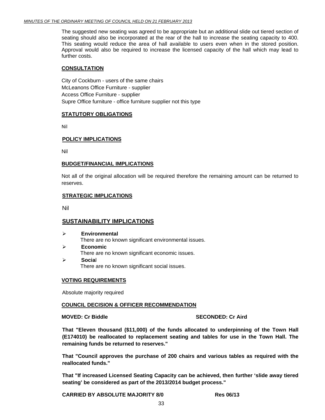The suggested new seating was agreed to be appropriate but an additional slide out tiered section of seating should also be incorporated at the rear of the hall to increase the seating capacity to 400. This seating would reduce the area of hall available to users even when in the stored position. Approval would also be required to increase the licensed capacity of the hall which may lead to further costs.

#### **CONSULTATION**

City of Cockburn - users of the same chairs McLeanons Office Furniture - supplier Access Office Furniture - supplier Supre Office furniture - office furniture supplier not this type

#### **STATUTORY OBLIGATIONS**

Nil

#### **POLICY IMPLICATIONS**

Nil

#### **BUDGET/FINANCIAL IMPLICATIONS**

Not all of the original allocation will be required therefore the remaining amount can be returned to reserves.

#### **STRATEGIC IMPLICATIONS**

Nil

#### **SUSTAINABILITY IMPLICATIONS**

- ¾ **Environmental**  There are no known significant environmental issues.
- ¾ **Economic**  There are no known significant economic issues. ¾ **Socia**l
	- There are no known significant social issues.

#### **VOTING REQUIREMENTS**

Absolute majority required

#### **COUNCIL DECISION & OFFICER RECOMMENDATION**

#### **MOVED: Cr Biddle SECONDED: Cr Aird**

**That "Eleven thousand (\$11,000) of the funds allocated to underpinning of the Town Hall (E174010) be reallocated to replacement seating and tables for use in the Town Hall. The remaining funds be returned to reserves."** 

**That "Council approves the purchase of 200 chairs and various tables as required with the reallocated funds."** 

**That "If increased Licensed Seating Capacity can be achieved, then further 'slide away tiered seating' be considered as part of the 2013/2014 budget process."** 

**CARRIED BY ABSOLUTE MAJORITY 8/0 Res 06/13**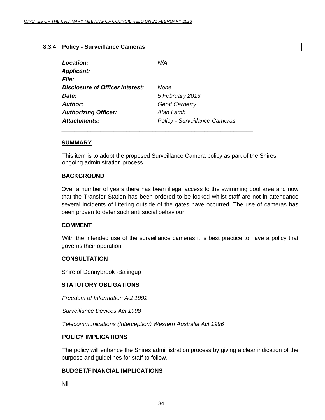# <span id="page-33-0"></span>**8.3.4 Policy - Surveillance Cameras**

| Location:<br><b>Applicant:</b><br><b>File:</b> | N/A                                  |
|------------------------------------------------|--------------------------------------|
| Disclosure of Officer Interest:                | None                                 |
| Date:                                          | 5 February 2013                      |
| Author:                                        | Geoff Carberry                       |
| <b>Authorizing Officer:</b>                    | Alan Lamb                            |
| <b>Attachments:</b>                            | <b>Policy - Surveillance Cameras</b> |

\_\_\_\_\_\_\_\_\_\_\_\_\_\_\_\_\_\_\_\_\_\_\_\_\_\_\_\_\_\_\_\_\_\_\_\_\_\_\_\_\_\_\_\_\_\_\_\_\_\_\_\_\_\_\_\_\_\_\_

## **SUMMARY**

This item is to adopt the proposed Surveillance Camera policy as part of the Shires ongoing administration process.

#### **BACKGROUND**

Over a number of years there has been illegal access to the swimming pool area and now that the Transfer Station has been ordered to be locked whilst staff are not in attendance several incidents of littering outside of the gates have occurred. The use of cameras has been proven to deter such anti social behaviour.

## **COMMENT**

 With the intended use of the surveillance cameras it is best practice to have a policy that governs their operation

#### **CONSULTATION**

Shire of Donnybrook -Balingup

#### **STATUTORY OBLIGATIONS**

 *Freedom of Information Act 1992* 

 *Surveillance Devices Act 1998* 

 *Telecommunications (Interception) Western Australia Act 1996* 

#### **POLICY IMPLICATIONS**

 The policy will enhance the Shires administration process by giving a clear indication of the purpose and guidelines for staff to follow.

## **BUDGET/FINANCIAL IMPLICATIONS**

Nil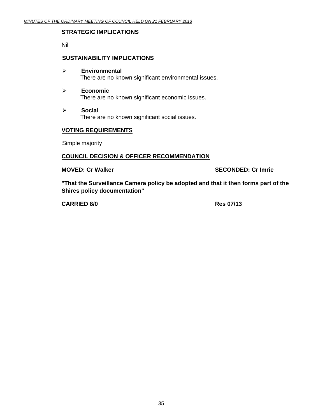#### **STRATEGIC IMPLICATIONS**

Nil

#### **SUSTAINABILITY IMPLICATIONS**

- ¾ **Environmental**  There are no known significant environmental issues.
- ¾ **Economic**  There are no known significant economic issues.
- ¾ **Socia**l There are no known significant social issues.

#### **VOTING REQUIREMENTS**

Simple majority

# **COUNCIL DECISION & OFFICER RECOMMENDATION**

**MOVED: Cr Walker SECONDED: Cr Imrie 2018** 

**"That the Surveillance Camera policy be adopted and that it then forms part of the Shires policy documentation"** 

**CARRIED 8/0 Res 07/13**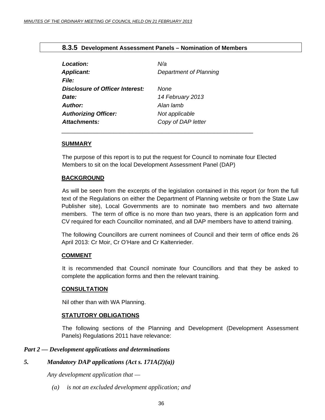## **8.3.5 Development Assessment Panels – Nomination of Members**

<span id="page-35-0"></span>

| Location:                              | N/a                    |
|----------------------------------------|------------------------|
| <b>Applicant:</b>                      | Department of Planning |
| <b>File:</b>                           |                        |
| <b>Disclosure of Officer Interest:</b> | <b>None</b>            |
| Date:                                  | 14 February 2013       |
| Author:                                | Alan lamb              |
| <b>Authorizing Officer:</b>            | Not applicable         |
| <b>Attachments:</b>                    | Copy of DAP letter     |
|                                        |                        |

#### **SUMMARY**

The purpose of this report is to put the request for Council to nominate four Elected Members to sit on the local Development Assessment Panel (DAP)

## **BACKGROUND**

 As will be seen from the excerpts of the legislation contained in this report (or from the full text of the Regulations on either the Department of Planning website or from the State Law Publisher site), Local Governments are to nominate two members and two alternate members. The term of office is no more than two years, there is an application form and CV required for each Councillor nominated, and all DAP members have to attend training.

The following Councillors are current nominees of Council and their term of office ends 26 April 2013: Cr Moir, Cr O'Hare and Cr Kaltenrieder.

## **COMMENT**

 It is recommended that Council nominate four Councillors and that they be asked to complete the application forms and then the relevant training.

## **CONSULTATION**

Nil other than with WA Planning.

## **STATUTORY OBLIGATIONS**

 The following sections of the Planning and Development (Development Assessment Panels) Regulations 2011 have relevance:

## *Part 2 — Development applications and determinations*

# *5. Mandatory DAP applications (Act s. 171A(2)(a))*

 *Any development application that —* 

 *(a) is not an excluded development application; and*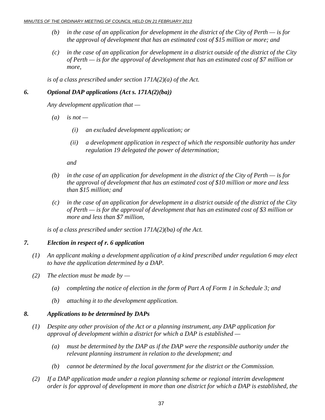- *(b) in the case of an application for development in the district of the City of Perth is for the approval of development that has an estimated cost of \$15 million or more; and*
- *(c) in the case of an application for development in a district outside of the district of the City of Perth — is for the approval of development that has an estimated cost of \$7 million or more,*

 *is of a class prescribed under section 171A(2)(a) of the Act.* 

# *6. Optional DAP applications (Act s. 171A(2)(ba))*

 *Any development application that —* 

- $(a)$  is not
	- *(i) an excluded development application; or*
	- *(ii) a development application in respect of which the responsible authority has under regulation 19 delegated the power of determination;*

 *and* 

- *(b) in the case of an application for development in the district of the City of Perth is for the approval of development that has an estimated cost of \$10 million or more and less than \$15 million; and*
- *(c) in the case of an application for development in a district outside of the district of the City of Perth — is for the approval of development that has an estimated cost of \$3 million or more and less than \$7 million,*

 *is of a class prescribed under section 171A(2)(ba) of the Act.* 

# *7. Election in respect of r. 6 application*

- *(1) An applicant making a development application of a kind prescribed under regulation 6 may elect to have the application determined by a DAP.*
- *(2) The election must be made by* 
	- *(a) completing the notice of election in the form of Part A of Form 1 in Schedule 3; and*
	- *(b) attaching it to the development application.*

# *8. Applications to be determined by DAPs*

- *(1) Despite any other provision of the Act or a planning instrument, any DAP application for approval of development within a district for which a DAP is established —* 
	- *(a) must be determined by the DAP as if the DAP were the responsible authority under the relevant planning instrument in relation to the development; and*
	- *(b) cannot be determined by the local government for the district or the Commission.*
- *(2) If a DAP application made under a region planning scheme or regional interim development order is for approval of development in more than one district for which a DAP is established, the*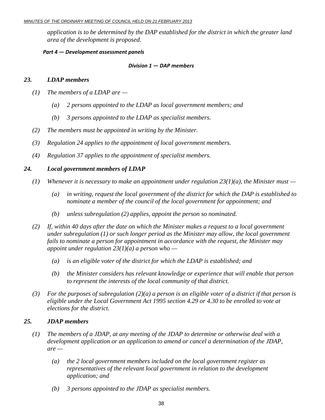*application is to be determined by the DAP established for the district in which the greater land area of the development is proposed.* 

#### *Part 4 — Development assessment panels*

#### *Division 1 — DAP members*

# *23. LDAP members*

- *(1) The members of a LDAP are* 
	- *(a) 2 persons appointed to the LDAP as local government members; and*
	- *(b) 3 persons appointed to the LDAP as specialist members.*
- *(2) The members must be appointed in writing by the Minister.*
- *(3) Regulation 24 applies to the appointment of local government members.*
- *(4) Regulation 37 applies to the appointment of specialist members.*

# *24. Local government members of LDAP*

- *(1) Whenever it is necessary to make an appointment under regulation 23(1)(a), the Minister must* 
	- *(a) in writing, request the local government of the district for which the DAP is established to nominate a member of the council of the local government for appointment; and*
	- *(b) unless subregulation (2) applies, appoint the person so nominated.*
- *(2) If, within 40 days after the date on which the Minister makes a request to a local government under subregulation (1) or such longer period as the Minister may allow, the local government*  fails to nominate a person for appointment in accordance with the request, the Minister may *appoint under regulation 23(1)(a) a person who —* 
	- *(a) is an eligible voter of the district for which the LDAP is established; and*
	- *(b) the Minister considers has relevant knowledge or experience that will enable that person to represent the interests of the local community of that district.*
- *(3) For the purposes of subregulation (2)(a) a person is an eligible voter of a district if that person is eligible under the Local Government Act 1995 section 4.29 or 4.30 to be enrolled to vote at elections for the district.*

## *25. JDAP members*

- *(1) The members of a JDAP, at any meeting of the JDAP to determine or otherwise deal with a development application or an application to amend or cancel a determination of the JDAP,*   $are$  —
	- *(a) the 2 local government members included on the local government register as representatives of the relevant local government in relation to the development application; and*
	- *(b) 3 persons appointed to the JDAP as specialist members.*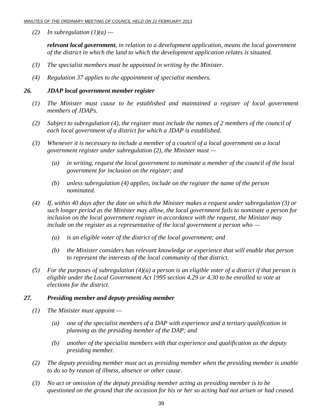*(2) In subregulation (1)(a) —* 

*relevant local government, in relation to a development application, means the local government of the district in which the land to which the development application relates is situated.* 

- *(3) The specialist members must be appointed in writing by the Minister.*
- *(4) Regulation 37 applies to the appointment of specialist members.*

#### *26. JDAP local government member register*

- *(1) The Minister must cause to be established and maintained a register of local government members of JDAPs.*
- *(2) Subject to subregulation (4), the register must include the names of 2 members of the council of each local government of a district for which a JDAP is established.*
- *(3) Whenever it is necessary to include a member of a council of a local government on a local government register under subregulation (2), the Minister must —* 
	- *(a) in writing, request the local government to nominate a member of the council of the local government for inclusion on the register; and*
	- *(b) unless subregulation (4) applies, include on the register the name of the person nominated.*
- *(4) If, within 40 days after the date on which the Minister makes a request under subregulation (3) or such longer period as the Minister may allow, the local government fails to nominate a person for inclusion on the local government register in accordance with the request, the Minister may include on the register as a representative of the local government a person who —* 
	- *(a) is an eligible voter of the district of the local government; and*
	- *(b) the Minister considers has relevant knowledge or experience that will enable that person to represent the interests of the local community of that district.*
- *(5) For the purposes of subregulation (4)(a) a person is an eligible voter of a district if that person is eligible under the Local Government Act 1995 section 4.29 or 4.30 to be enrolled to vote at elections for the district.*

#### *27. Presiding member and deputy presiding member*

- *(1) The Minister must appoint* 
	- *(a) one of the specialist members of a DAP with experience and a tertiary qualification in planning as the presiding member of the DAP; and*
	- *(b) another of the specialist members with that experience and qualification as the deputy presiding member.*
- *(2) The deputy presiding member must act as presiding member when the presiding member is unable to do so by reason of illness, absence or other cause.*
- *(3) No act or omission of the deputy presiding member acting as presiding member is to be questioned on the ground that the occasion for his or her so acting had not arisen or had ceased.*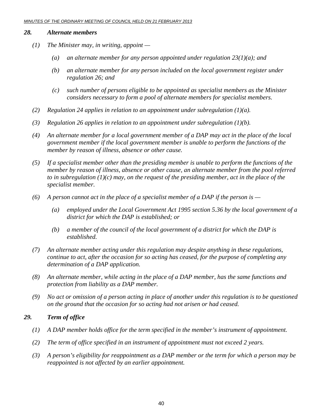#### *28. Alternate members*

- *(1) The Minister may, in writing, appoint* 
	- *(a) an alternate member for any person appointed under regulation 23(1)(a); and*
	- *(b) an alternate member for any person included on the local government register under regulation 26; and*
	- *(c) such number of persons eligible to be appointed as specialist members as the Minister considers necessary to form a pool of alternate members for specialist members.*
- *(2) Regulation 24 applies in relation to an appointment under subregulation (1)(a).*
- *(3) Regulation 26 applies in relation to an appointment under subregulation (1)(b).*
- *(4) An alternate member for a local government member of a DAP may act in the place of the local government member if the local government member is unable to perform the functions of the member by reason of illness, absence or other cause.*
- *(5) If a specialist member other than the presiding member is unable to perform the functions of the member by reason of illness, absence or other cause, an alternate member from the pool referred to in subregulation (1)(c) may, on the request of the presiding member, act in the place of the specialist member.*
- *(6) A person cannot act in the place of a specialist member of a DAP if the person is* 
	- *(a) employed under the Local Government Act 1995 section 5.36 by the local government of a district for which the DAP is established; or*
	- *(b) a member of the council of the local government of a district for which the DAP is established.*
- *(7) An alternate member acting under this regulation may despite anything in these regulations, continue to act, after the occasion for so acting has ceased, for the purpose of completing any determination of a DAP application.*
- *(8) An alternate member, while acting in the place of a DAP member, has the same functions and protection from liability as a DAP member.*
- *(9) No act or omission of a person acting in place of another under this regulation is to be questioned on the ground that the occasion for so acting had not arisen or had ceased.*

## *29. Term of office*

- *(1) A DAP member holds office for the term specified in the member's instrument of appointment.*
- *(2) The term of office specified in an instrument of appointment must not exceed 2 years.*
- *(3) A person's eligibility for reappointment as a DAP member or the term for which a person may be reappointed is not affected by an earlier appointment.*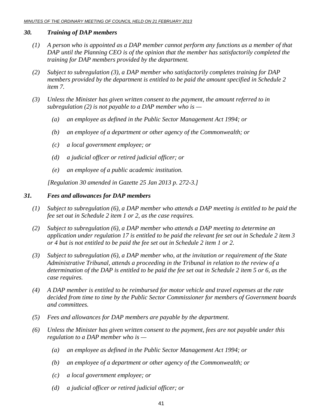# *30. Training of DAP members*

- *(1) A person who is appointed as a DAP member cannot perform any functions as a member of that DAP until the Planning CEO is of the opinion that the member has satisfactorily completed the training for DAP members provided by the department.*
- *(2) Subject to subregulation (3), a DAP member who satisfactorily completes training for DAP members provided by the department is entitled to be paid the amount specified in Schedule 2 item 7.*
- *(3) Unless the Minister has given written consent to the payment, the amount referred to in subregulation (2) is not payable to a DAP member who is —* 
	- *(a) an employee as defined in the Public Sector Management Act 1994; or*
	- *(b) an employee of a department or other agency of the Commonwealth; or*
	- *(c) a local government employee; or*
	- *(d) a judicial officer or retired judicial officer; or*
	- *(e) an employee of a public academic institution.*

 *[Regulation 30 amended in Gazette 25 Jan 2013 p. 272-3.]* 

## *31. Fees and allowances for DAP members*

- *(1) Subject to subregulation (6), a DAP member who attends a DAP meeting is entitled to be paid the fee set out in Schedule 2 item 1 or 2, as the case requires.*
- *(2) Subject to subregulation (6), a DAP member who attends a DAP meeting to determine an application under regulation 17 is entitled to be paid the relevant fee set out in Schedule 2 item 3 or 4 but is not entitled to be paid the fee set out in Schedule 2 item 1 or 2.*
- *(3) Subject to subregulation (6), a DAP member who, at the invitation or requirement of the State Administrative Tribunal, attends a proceeding in the Tribunal in relation to the review of a determination of the DAP is entitled to be paid the fee set out in Schedule 2 item 5 or 6, as the case requires.*
- *(4) A DAP member is entitled to be reimbursed for motor vehicle and travel expenses at the rate decided from time to time by the Public Sector Commissioner for members of Government boards and committees.*
- *(5) Fees and allowances for DAP members are payable by the department.*
- *(6) Unless the Minister has given written consent to the payment, fees are not payable under this regulation to a DAP member who is —* 
	- *(a) an employee as defined in the Public Sector Management Act 1994; or*
	- *(b) an employee of a department or other agency of the Commonwealth; or*
	- *(c) a local government employee; or*
	- *(d) a judicial officer or retired judicial officer; or*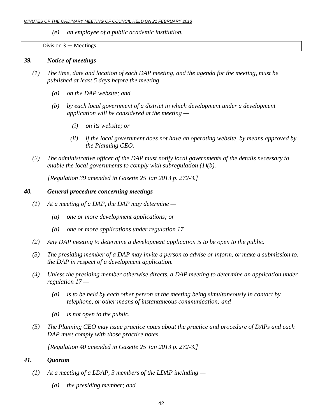*(e) an employee of a public academic institution.* 

Division 3 — Meetings

#### *39. Notice of meetings*

- *(1) The time, date and location of each DAP meeting, and the agenda for the meeting, must be published at least 5 days before the meeting —* 
	- *(a) on the DAP website; and*
	- *(b) by each local government of a district in which development under a development application will be considered at the meeting —* 
		- *(i) on its website; or*
		- *(ii) if the local government does not have an operating website, by means approved by the Planning CEO.*
- *(2) The administrative officer of the DAP must notify local governments of the details necessary to enable the local governments to comply with subregulation (1)(b).*

 *[Regulation 39 amended in Gazette 25 Jan 2013 p. 272-3.]* 

## *40. General procedure concerning meetings*

- *(1) At a meeting of a DAP, the DAP may determine* 
	- *(a) one or more development applications; or*
	- *(b) one or more applications under regulation 17.*
- *(2) Any DAP meeting to determine a development application is to be open to the public.*
- *(3) The presiding member of a DAP may invite a person to advise or inform, or make a submission to, the DAP in respect of a development application.*
- *(4) Unless the presiding member otherwise directs, a DAP meeting to determine an application under regulation 17 —* 
	- *(a) is to be held by each other person at the meeting being simultaneously in contact by telephone, or other means of instantaneous communication; and*
	- *(b) is not open to the public.*
- *(5) The Planning CEO may issue practice notes about the practice and procedure of DAPs and each DAP must comply with those practice notes.*

 *[Regulation 40 amended in Gazette 25 Jan 2013 p. 272-3.]* 

# *41. Quorum*

- *(1) At a meeting of a LDAP, 3 members of the LDAP including* 
	- *(a) the presiding member; and*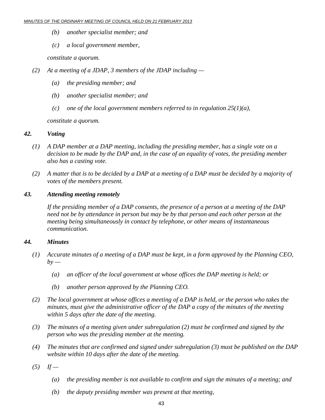- *(b) another specialist member; and*
- *(c) a local government member,*

 *constitute a quorum.* 

- *(2) At a meeting of a JDAP, 3 members of the JDAP including* 
	- *(a) the presiding member; and*
	- *(b) another specialist member; and*
	- *(c) one of the local government members referred to in regulation 25(1)(a),*

 *constitute a quorum.* 

# *42. Voting*

- *(1) A DAP member at a DAP meeting, including the presiding member, has a single vote on a decision to be made by the DAP and, in the case of an equality of votes, the presiding member also has a casting vote.*
- *(2) A matter that is to be decided by a DAP at a meeting of a DAP must be decided by a majority of votes of the members present.*

# *43. Attending meeting remotely*

 *If the presiding member of a DAP consents, the presence of a person at a meeting of the DAP need not be by attendance in person but may be by that person and each other person at the meeting being simultaneously in contact by telephone, or other means of instantaneous communication.* 

# *44. Minutes*

- *(1) Accurate minutes of a meeting of a DAP must be kept, in a form approved by the Planning CEO,*   $by -$ 
	- *(a) an officer of the local government at whose offices the DAP meeting is held; or*
	- *(b) another person approved by the Planning CEO.*
- *(2) The local government at whose offices a meeting of a DAP is held, or the person who takes the minutes, must give the administrative officer of the DAP a copy of the minutes of the meeting within 5 days after the date of the meeting.*
- *(3) The minutes of a meeting given under subregulation (2) must be confirmed and signed by the person who was the presiding member at the meeting.*
- *(4) The minutes that are confirmed and signed under subregulation (3) must be published on the DAP website within 10 days after the date of the meeting.*
- $(5)$  *If* 
	- *(a) the presiding member is not available to confirm and sign the minutes of a meeting; and*
	- *(b) the deputy presiding member was present at that meeting,*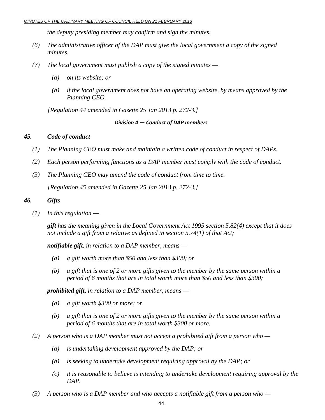*the deputy presiding member may confirm and sign the minutes.* 

- *(6) The administrative officer of the DAP must give the local government a copy of the signed minutes.*
- *(7) The local government must publish a copy of the signed minutes* 
	- *(a) on its website; or*
	- *(b) if the local government does not have an operating website, by means approved by the Planning CEO.*

 *[Regulation 44 amended in Gazette 25 Jan 2013 p. 272-3.]* 

#### *Division 4 — Conduct of DAP members*

#### *45. Code of conduct*

- *(1) The Planning CEO must make and maintain a written code of conduct in respect of DAPs.*
- *(2) Each person performing functions as a DAP member must comply with the code of conduct.*
- *(3) The Planning CEO may amend the code of conduct from time to time. [Regulation 45 amended in Gazette 25 Jan 2013 p. 272-3.]*

#### *46. Gifts*

 *(1) In this regulation —* 

*gift has the meaning given in the Local Government Act 1995 section 5.82(4) except that it does not include a gift from a relative as defined in section 5.74(1) of that Act;* 

*notifiable gift, in relation to a DAP member, means —* 

- *(a) a gift worth more than \$50 and less than \$300; or*
- *(b) a gift that is one of 2 or more gifts given to the member by the same person within a period of 6 months that are in total worth more than \$50 and less than \$300;*

*prohibited gift, in relation to a DAP member, means —* 

- *(a) a gift worth \$300 or more; or*
- *(b) a gift that is one of 2 or more gifts given to the member by the same person within a period of 6 months that are in total worth \$300 or more.*
- *(2) A person who is a DAP member must not accept a prohibited gift from a person who* 
	- *(a) is undertaking development approved by the DAP; or*
	- *(b) is seeking to undertake development requiring approval by the DAP; or*
	- *(c) it is reasonable to believe is intending to undertake development requiring approval by the DAP.*
- *(3) A person who is a DAP member and who accepts a notifiable gift from a person who*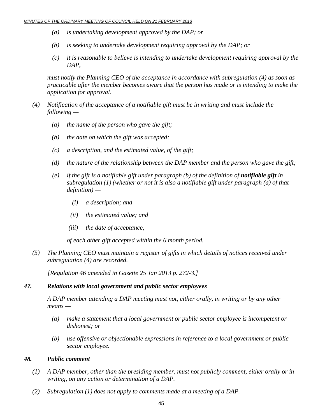- *(a) is undertaking development approved by the DAP; or*
- *(b) is seeking to undertake development requiring approval by the DAP; or*
- *(c) it is reasonable to believe is intending to undertake development requiring approval by the DAP,*

 *must notify the Planning CEO of the acceptance in accordance with subregulation (4) as soon as practicable after the member becomes aware that the person has made or is intending to make the application for approval.* 

- *(4) Notification of the acceptance of a notifiable gift must be in writing and must include the following —* 
	- *(a) the name of the person who gave the gift;*
	- *(b) the date on which the gift was accepted;*
	- *(c) a description, and the estimated value, of the gift;*
	- *(d) the nature of the relationship between the DAP member and the person who gave the gift;*
	- *(e)* if the gift is a notifiable gift under paragraph (b) of the definition of **notifiable gift** in *subregulation (1) (whether or not it is also a notifiable gift under paragraph (a) of that definition) —* 
		- *(i) a description; and*
		- *(ii) the estimated value; and*
		- *(iii) the date of acceptance,*

 *of each other gift accepted within the 6 month period.* 

 *(5) The Planning CEO must maintain a register of gifts in which details of notices received under subregulation (4) are recorded.* 

 *[Regulation 46 amended in Gazette 25 Jan 2013 p. 272-3.]* 

## *47. Relations with local government and public sector employees*

 *A DAP member attending a DAP meeting must not, either orally, in writing or by any other means —* 

- *(a) make a statement that a local government or public sector employee is incompetent or dishonest; or*
- *(b) use offensive or objectionable expressions in reference to a local government or public sector employee.*

#### *48. Public comment*

- *(1) A DAP member, other than the presiding member, must not publicly comment, either orally or in writing, on any action or determination of a DAP.*
- *(2) Subregulation (1) does not apply to comments made at a meeting of a DAP.*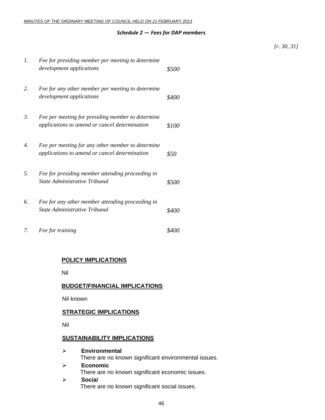#### *Schedule 2 — Fees for DAP members*

#### *[r. 30, 31]*

| 1. | Fee for presiding member per meeting to determine<br>development applications                      | \$500        |
|----|----------------------------------------------------------------------------------------------------|--------------|
| 2. | Fee for any other member per meeting to determine<br>development applications                      | <i>\$400</i> |
| 3. | Fee per meeting for presiding member to determine<br>applications to amend or cancel determination | \$100        |
| 4. | Fee per meeting for any other member to determine<br>applications to amend or cancel determination | \$50         |
| 5. | Fee for presiding member attending proceeding in<br>State Administrative Tribunal                  | \$500        |
| 6. | Fee for any other member attending proceeding in<br>State Administrative Tribunal                  | S400         |
| 7. | Fee for training                                                                                   | <i>8400</i>  |

## **POLICY IMPLICATIONS**

Nil

#### **BUDGET/FINANCIAL IMPLICATIONS**

Nil known

#### **STRATEGIC IMPLICATIONS**

Nil

#### **SUSTAINABILITY IMPLICATIONS**

- ¾ **Environmental**  There are no known significant environmental issues. ¾ **Economic**  There are no known significant economic issues.
- ¾ **Socia**l

There are no known significant social issues.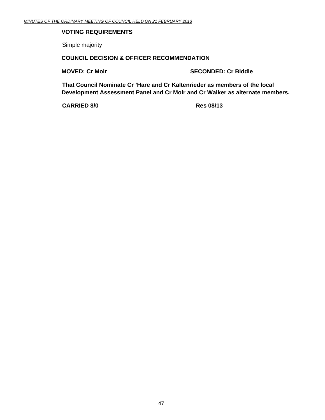# **VOTING REQUIREMENTS**

Simple majority

#### **COUNCIL DECISION & OFFICER RECOMMENDATION**

**MOVED: Cr Moir** SECONDED: Cr Biddle

**That Council Nominate Cr 'Hare and Cr Kaltenrieder as members of the local Development Assessment Panel and Cr Moir and Cr Walker as alternate members.** 

**CARRIED 8/0 Res 08/13**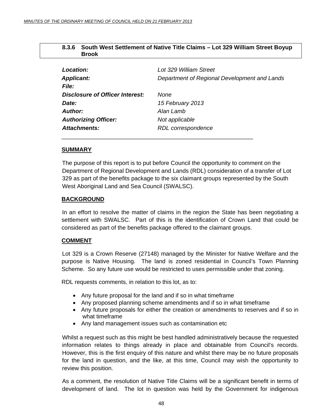# **8.3.6 South West Settlement of Native Title Claims – Lot 329 William Street Boyup Brook**

<span id="page-47-0"></span>

| Location:                              | Lot 329 William Street                       |
|----------------------------------------|----------------------------------------------|
| <b>Applicant:</b>                      | Department of Regional Development and Lands |
| File:                                  |                                              |
| <b>Disclosure of Officer Interest:</b> | <b>None</b>                                  |
| Date:                                  | 15 February 2013                             |
| Author:                                | Alan Lamb                                    |
| <b>Authorizing Officer:</b>            | Not applicable                               |
| Attachments:                           | RDL correspondence                           |
|                                        |                                              |

## **SUMMARY**

The purpose of this report is to put before Council the opportunity to comment on the Department of Regional Development and Lands (RDL) consideration of a transfer of Lot 329 as part of the benefits package to the six claimant groups represented by the South West Aboriginal Land and Sea Council (SWALSC).

#### **BACKGROUND**

 In an effort to resolve the matter of claims in the region the State has been negotiating a settlement with SWALSC. Part of this is the identification of Crown Land that could be considered as part of the benefits package offered to the claimant groups.

## **COMMENT**

 Lot 329 is a Crown Reserve (27148) managed by the Minister for Native Welfare and the purpose is Native Housing. The land is zoned residential in Council's Town Planning Scheme. So any future use would be restricted to uses permissible under that zoning.

RDL requests comments, in relation to this lot, as to:

- Any future proposal for the land and if so in what timeframe
- Any proposed planning scheme amendments and if so in what timeframe
- Any future proposals for either the creation or amendments to reserves and if so in what timeframe
- Any land management issues such as contamination etc

Whilst a request such as this might be best handled administratively because the requested information relates to things already in place and obtainable from Council's records. However, this is the first enquiry of this nature and whilst there may be no future proposals for the land in question, and the like, at this time, Council may wish the opportunity to review this position.

As a comment, the resolution of Native Title Claims will be a significant benefit in terms of development of land. The lot in question was held by the Government for indigenous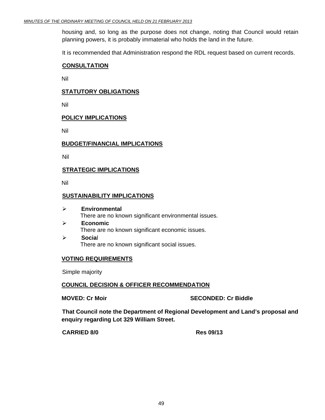housing and, so long as the purpose does not change, noting that Council would retain planning powers, it is probably immaterial who holds the land in the future.

It is recommended that Administration respond the RDL request based on current records.

#### **CONSULTATION**

Nil

## **STATUTORY OBLIGATIONS**

Nil

## **POLICY IMPLICATIONS**

Nil

#### **BUDGET/FINANCIAL IMPLICATIONS**

Nil

#### **STRATEGIC IMPLICATIONS**

Nil

#### **SUSTAINABILITY IMPLICATIONS**

- ¾ **Environmental**  There are no known significant environmental issues.
- ¾ **Economic**  There are no known significant economic issues.
- ¾ **Socia**l There are no known significant social issues.

#### **VOTING REQUIREMENTS**

Simple majority

#### **COUNCIL DECISION & OFFICER RECOMMENDATION**

**MOVED: Cr Moir SECONDED: Cr Biddle** 

**That Council note the Department of Regional Development and Land's proposal and enquiry regarding Lot 329 William Street.** 

**CARRIED 8/0 Res 09/13**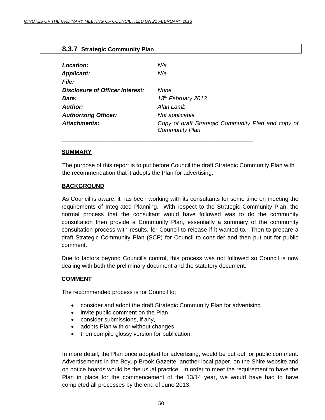<span id="page-49-0"></span> **8.3.7 Strategic Community Plan** 

| $\frac{1}{2}$                   |                                                                             |
|---------------------------------|-----------------------------------------------------------------------------|
|                                 |                                                                             |
| Location:                       | N/a                                                                         |
| <b>Applicant:</b>               | N/a                                                                         |
| <i>File:</i>                    |                                                                             |
| Disclosure of Officer Interest: | None                                                                        |
| Date:                           | 13 <sup>th</sup> February 2013                                              |
| <b>Author:</b>                  | Alan Lamb                                                                   |
| <b>Authorizing Officer:</b>     | Not applicable                                                              |
| <b>Attachments:</b>             | Copy of draft Strategic Community Plan and copy of<br><b>Community Plan</b> |
|                                 |                                                                             |

#### **SUMMARY**

The purpose of this report is to put before Council the draft Strategic Community Plan with the recommendation that it adopts the Plan for advertising.

\_\_\_\_\_\_\_\_\_\_\_\_\_\_\_\_\_\_\_\_\_\_\_\_\_\_\_\_\_\_\_\_\_\_\_\_\_\_\_\_\_\_\_\_\_\_\_\_\_\_\_\_\_\_\_\_\_\_\_

## **BACKGROUND**

 As Council is aware, it has been working with its consultants for some time on meeting the requirements of Integrated Planning. With respect to the Strategic Community Plan, the normal process that the consultant would have followed was to do the community consultation then provide a Community Plan, essentially a summary of the community consultation process with results, for Council to release if it wanted to. Then to prepare a draft Strategic Community Plan (SCP) for Council to consider and then put out for public comment.

Due to factors beyond Council's control, this process was not followed so Council is now dealing with both the preliminary document and the statutory document.

## **COMMENT**

The recommended process is for Council to;

- consider and adopt the draft Strategic Community Plan for advertising
- invite public comment on the Plan
- consider submissions, if any,
- adopts Plan with or without changes
- then compile glossy version for publication.

In more detail, the Plan once adopted for advertising, would be put out for public comment. Advertisements in the Boyup Brook Gazette, another local paper, on the Shire website and on notice boards would be the usual practice. In order to meet the requirement to have the Plan in place for the commencement of the 13/14 year, we would have had to have completed all processes by the end of June 2013.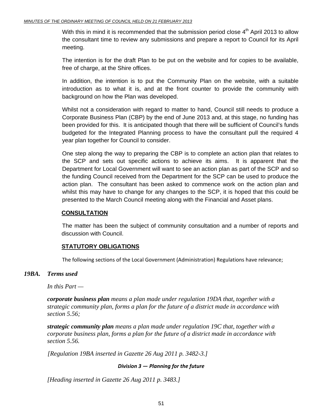With this in mind it is recommended that the submission period close  $4<sup>th</sup>$  April 2013 to allow the consultant time to review any submissions and prepare a report to Council for its April meeting.

The intention is for the draft Plan to be put on the website and for copies to be available, free of charge, at the Shire offices.

In addition, the intention is to put the Community Plan on the website, with a suitable introduction as to what it is, and at the front counter to provide the community with background on how the Plan was developed.

Whilst not a consideration with regard to matter to hand, Council still needs to produce a Corporate Business Plan (CBP) by the end of June 2013 and, at this stage, no funding has been provided for this. It is anticipated though that there will be sufficient of Council's funds budgeted for the Integrated Planning process to have the consultant pull the required 4 year plan together for Council to consider.

One step along the way to preparing the CBP is to complete an action plan that relates to the SCP and sets out specific actions to achieve its aims. It is apparent that the Department for Local Government will want to see an action plan as part of the SCP and so the funding Council received from the Department for the SCP can be used to produce the action plan. The consultant has been asked to commence work on the action plan and whilst this may have to change for any changes to the SCP, it is hoped that this could be presented to the March Council meeting along with the Financial and Asset plans.

# **CONSULTATION**

 The matter has been the subject of community consultation and a number of reports and discussion with Council.

# **STATUTORY OBLIGATIONS**

The following sections of the Local Government (Administration) Regulations have relevance;

# *19BA. Terms used*

 *In this Part —* 

*corporate business plan means a plan made under regulation 19DA that, together with a strategic community plan, forms a plan for the future of a district made in accordance with section 5.56;* 

*strategic community plan means a plan made under regulation 19C that, together with a corporate business plan, forms a plan for the future of a district made in accordance with section 5.56.* 

 *[Regulation 19BA inserted in Gazette 26 Aug 2011 p. 3482-3.]* 

## *Division 3 — Planning for the future*

 *[Heading inserted in Gazette 26 Aug 2011 p. 3483.]*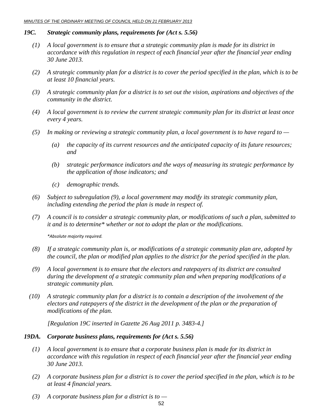#### *19C. Strategic community plans, requirements for (Act s. 5.56)*

- *(1) A local government is to ensure that a strategic community plan is made for its district in accordance with this regulation in respect of each financial year after the financial year ending 30 June 2013.*
- *(2) A strategic community plan for a district is to cover the period specified in the plan, which is to be at least 10 financial years.*
- *(3) A strategic community plan for a district is to set out the vision, aspirations and objectives of the community in the district.*
- *(4) A local government is to review the current strategic community plan for its district at least once every 4 years.*
- *(5) In making or reviewing a strategic community plan, a local government is to have regard to* 
	- *(a) the capacity of its current resources and the anticipated capacity of its future resources; and*
	- *(b) strategic performance indicators and the ways of measuring its strategic performance by the application of those indicators; and*
	- *(c) demographic trends.*
- *(6) Subject to subregulation (9), a local government may modify its strategic community plan, including extending the period the plan is made in respect of.*
- *(7) A council is to consider a strategic community plan, or modifications of such a plan, submitted to it and is to determine\* whether or not to adopt the plan or the modifications.*

*\*Absolute majority required.*

- *(8) If a strategic community plan is, or modifications of a strategic community plan are, adopted by the council, the plan or modified plan applies to the district for the period specified in the plan.*
- *(9) A local government is to ensure that the electors and ratepayers of its district are consulted during the development of a strategic community plan and when preparing modifications of a strategic community plan.*
- *(10) A strategic community plan for a district is to contain a description of the involvement of the electors and ratepayers of the district in the development of the plan or the preparation of modifications of the plan.*

 *[Regulation 19C inserted in Gazette 26 Aug 2011 p. 3483-4.]* 

## *19DA. Corporate business plans, requirements for (Act s. 5.56)*

- *(1) A local government is to ensure that a corporate business plan is made for its district in accordance with this regulation in respect of each financial year after the financial year ending 30 June 2013.*
- *(2) A corporate business plan for a district is to cover the period specified in the plan, which is to be at least 4 financial years.*
- *(3) A corporate business plan for a district is to*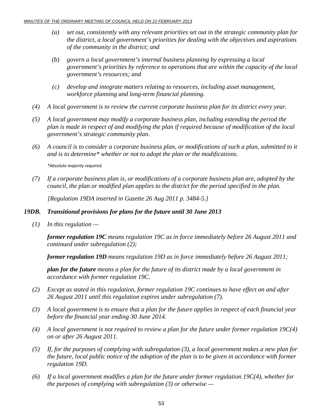- *(a) set out, consistently with any relevant priorities set out in the strategic community plan for the district, a local government's priorities for dealing with the objectives and aspirations of the community in the district; and*
- *(b) govern a local government's internal business planning by expressing a local government's priorities by reference to operations that are within the capacity of the local government's resources; and*
- *(c) develop and integrate matters relating to resources, including asset management, workforce planning and long-term financial planning.*
- *(4) A local government is to review the current corporate business plan for its district every year.*
- *(5) A local government may modify a corporate business plan, including extending the period the plan is made in respect of and modifying the plan if required because of modification of the local government's strategic community plan.*
- *(6) A council is to consider a corporate business plan, or modifications of such a plan, submitted to it and is to determine\* whether or not to adopt the plan or the modifications.*

*\*Absolute majority required.*

 *(7) If a corporate business plan is, or modifications of a corporate business plan are, adopted by the council, the plan or modified plan applies to the district for the period specified in the plan.* 

 *[Regulation 19DA inserted in Gazette 26 Aug 2011 p. 3484-5.]* 

#### *19DB. Transitional provisions for plans for the future until 30 June 2013*

 *(1) In this regulation —* 

*former regulation 19C means regulation 19C as in force immediately before 26 August 2011 and continued under subregulation (2);* 

*former regulation 19D means regulation 19D as in force immediately before 26 August 2011;* 

*plan for the future means a plan for the future of its district made by a local government in accordance with former regulation 19C.* 

- *(2) Except as stated in this regulation, former regulation 19C continues to have effect on and after 26 August 2011 until this regulation expires under subregulation (7).*
- *(3) A local government is to ensure that a plan for the future applies in respect of each financial year before the financial year ending 30 June 2014.*
- *(4) A local government is not required to review a plan for the future under former regulation 19C(4) on or after 26 August 2011.*
- *(5) If, for the purposes of complying with subregulation (3), a local government makes a new plan for the future, local public notice of the adoption of the plan is to be given in accordance with former regulation 19D.*
- *(6) If a local government modifies a plan for the future under former regulation 19C(4), whether for the purposes of complying with subregulation (3) or otherwise —*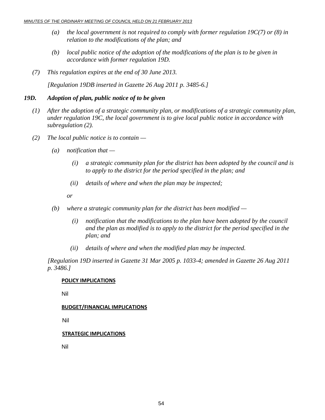- *(a) the local government is not required to comply with former regulation 19C(7) or (8) in relation to the modifications of the plan; and*
- *(b) local public notice of the adoption of the modifications of the plan is to be given in accordance with former regulation 19D.*
- *(7) This regulation expires at the end of 30 June 2013.*

 *[Regulation 19DB inserted in Gazette 26 Aug 2011 p. 3485-6.]* 

#### *19D. Adoption of plan, public notice of to be given*

- *(1) After the adoption of a strategic community plan, or modifications of a strategic community plan, under regulation 19C, the local government is to give local public notice in accordance with subregulation (2).*
- *(2) The local public notice is to contain* 
	- *(a) notification that* 
		- *(i) a strategic community plan for the district has been adopted by the council and is to apply to the district for the period specified in the plan; and*
		- *(ii) details of where and when the plan may be inspected;*

 *or* 

- *(b) where a strategic community plan for the district has been modified* 
	- *(i) notification that the modifications to the plan have been adopted by the council and the plan as modified is to apply to the district for the period specified in the plan; and*
	- *(ii) details of where and when the modified plan may be inspected.*

 *[Regulation 19D inserted in Gazette 31 Mar 2005 p. 1033-4; amended in Gazette 26 Aug 2011 p. 3486.]* 

#### **POLICY IMPLICATIONS**

Nil

#### **BUDGET/FINANCIAL IMPLICATIONS**

Nil

#### **STRATEGIC IMPLICATIONS**

Nil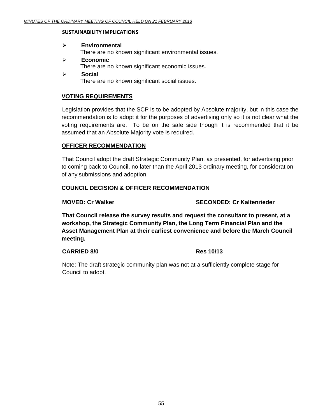#### **SUSTAINABILITY IMPLICATIONS**

# ¾ **Environmental**  There are no known significant environmental issues.

- ¾ **Economic**  There are no known significant economic issues.
- ¾ **Socia**l There are no known significant social issues.

#### **VOTING REQUIREMENTS**

Legislation provides that the SCP is to be adopted by Absolute majority, but in this case the recommendation is to adopt it for the purposes of advertising only so it is not clear what the voting requirements are. To be on the safe side though it is recommended that it be assumed that an Absolute Majority vote is required.

## **OFFICER RECOMMENDATION**

That Council adopt the draft Strategic Community Plan, as presented, for advertising prior to coming back to Council, no later than the April 2013 ordinary meeting, for consideration of any submissions and adoption.

## **COUNCIL DECISION & OFFICER RECOMMENDATION**

**MOVED: Cr Walker SECONDED: Cr Kaltenrieder CONDED: Cr Kaltenrieder** 

**That Council release the survey results and request the consultant to present, at a workshop, the Strategic Community Plan, the Long Term Financial Plan and the Asset Management Plan at their earliest convenience and before the March Council meeting.**

## **CARRIED 8/0 Res 10/13**

Note: The draft strategic community plan was not at a sufficiently complete stage for Council to adopt.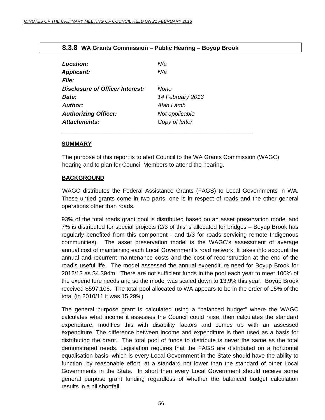<span id="page-55-0"></span>

|  |  |  |  | 8.3.8 WA Grants Commission - Public Hearing - Boyup Brook |
|--|--|--|--|-----------------------------------------------------------|
|--|--|--|--|-----------------------------------------------------------|

| Location:                              | N/a              |
|----------------------------------------|------------------|
| <b>Applicant:</b>                      | N/a              |
| File:                                  |                  |
| <b>Disclosure of Officer Interest:</b> | <b>None</b>      |
| Date:                                  | 14 February 2013 |
| <b>Author:</b>                         | Alan Lamb        |
| <b>Authorizing Officer:</b>            | Not applicable   |
| <b>Attachments:</b>                    | Copy of letter   |
|                                        |                  |

#### **SUMMARY**

The purpose of this report is to alert Council to the WA Grants Commission (WAGC) hearing and to plan for Council Members to attend the hearing.

# **BACKGROUND**

 WAGC distributes the Federal Assistance Grants (FAGS) to Local Governments in WA. These untied grants come in two parts, one is in respect of roads and the other general operations other than roads.

93% of the total roads grant pool is distributed based on an asset preservation model and 7% is distributed for special projects (2/3 of this is allocated for bridges – Boyup Brook has regularly benefited from this component - and 1/3 for roads servicing remote Indigenous communities). The asset preservation model is the WAGC's assessment of average annual cost of maintaining each Local Government's road network. It takes into account the annual and recurrent maintenance costs and the cost of reconstruction at the end of the road's useful life. The model assessed the annual expenditure need for Boyup Brook for 2012/13 as \$4.394m. There are not sufficient funds in the pool each year to meet 100% of the expenditure needs and so the model was scaled down to 13.9% this year. Boyup Brook received \$597,106. The total pool allocated to WA appears to be in the order of 15% of the total (in 2010/11 it was 15.29%)

The general purpose grant is calculated using a "balanced budget" where the WAGC calculates what income it assesses the Council could raise, then calculates the standard expenditure, modifies this with disability factors and comes up with an assessed expenditure. The difference between income and expenditure is then used as a basis for distributing the grant. The total pool of funds to distribute is never the same as the total demonstrated needs. Legislation requires that the FAGS are distributed on a horizontal equalisation basis, which is every Local Government in the State should have the ability to function, by reasonable effort, at a standard not lower than the standard of other Local Governments in the State. In short then every Local Government should receive some general purpose grant funding regardless of whether the balanced budget calculation results in a nil shortfall.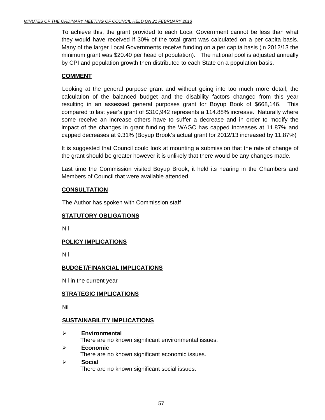To achieve this, the grant provided to each Local Government cannot be less than what they would have received if 30% of the total grant was calculated on a per capita basis. Many of the larger Local Governments receive funding on a per capita basis (in 2012/13 the minimum grant was \$20.40 per head of population). The national pool is adjusted annually by CPI and population growth then distributed to each State on a population basis.

# **COMMENT**

 Looking at the general purpose grant and without going into too much more detail, the calculation of the balanced budget and the disability factors changed from this year resulting in an assessed general purposes grant for Boyup Book of \$668,146. This compared to last year's grant of \$310,942 represents a 114.88% increase. Naturally where some receive an increase others have to suffer a decrease and in order to modify the impact of the changes in grant funding the WAGC has capped increases at 11.87% and capped decreases at 9.31% (Boyup Brook's actual grant for 2012/13 increased by 11.87%)

It is suggested that Council could look at mounting a submission that the rate of change of the grant should be greater however it is unlikely that there would be any changes made.

Last time the Commission visited Boyup Brook, it held its hearing in the Chambers and Members of Council that were available attended.

# **CONSULTATION**

The Author has spoken with Commission staff

# **STATUTORY OBLIGATIONS**

Nil

# **POLICY IMPLICATIONS**

Nil

# **BUDGET/FINANCIAL IMPLICATIONS**

Nil in the current year

# **STRATEGIC IMPLICATIONS**

Nil

# **SUSTAINABILITY IMPLICATIONS**

- ¾ **Environmental**  There are no known significant environmental issues. ¾ **Economic**  There are no known significant economic issues.
- ¾ **Socia**l There are no known significant social issues.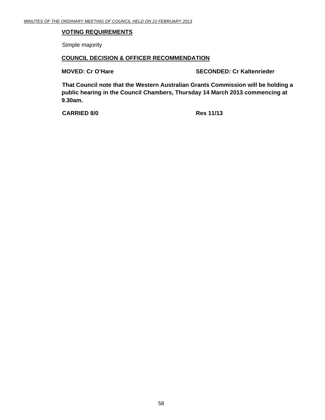# **VOTING REQUIREMENTS**

Simple majority

#### **COUNCIL DECISION & OFFICER RECOMMENDATION**

**MOVED: Cr O'Hare SECONDED: Cr Kaltenrieder CONDED:** Cr Kaltenrieder

**That Council note that the Western Australian Grants Commission will be holding a public hearing in the Council Chambers, Thursday 14 March 2013 commencing at 9.30am.** 

**CARRIED 8/0 Res 11/13**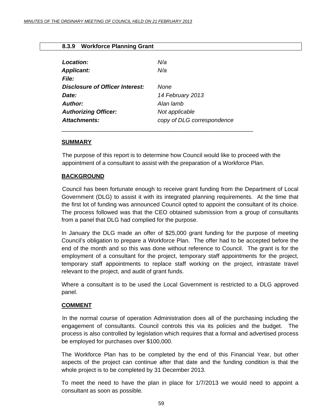<span id="page-58-0"></span>

|  | 8.3.9 Workforce Planning Grant |  |  |
|--|--------------------------------|--|--|
|--|--------------------------------|--|--|

| Location:<br><b>Applicant:</b><br><i>File:</i> | N/a<br>N/a                 |
|------------------------------------------------|----------------------------|
| Disclosure of Officer Interest:                | None                       |
| Date:                                          | 14 February 2013           |
| Author:                                        | Alan lamb                  |
| <b>Authorizing Officer:</b>                    | Not applicable             |
| Attachments:                                   | copy of DLG correspondence |

\_\_\_\_\_\_\_\_\_\_\_\_\_\_\_\_\_\_\_\_\_\_\_\_\_\_\_\_\_\_\_\_\_\_\_\_\_\_\_\_\_\_\_\_\_\_\_\_\_\_\_\_\_\_\_\_\_\_\_

## **SUMMARY**

The purpose of this report is to determine how Council would like to proceed with the appointment of a consultant to assist with the preparation of a Workforce Plan.

## **BACKGROUND**

 Council has been fortunate enough to receive grant funding from the Department of Local Government (DLG) to assist it with its integrated planning requirements. At the time that the first lot of funding was announced Council opted to appoint the consultant of its choice. The process followed was that the CEO obtained submission from a group of consultants from a panel that DLG had complied for the purpose.

In January the DLG made an offer of \$25,000 grant funding for the purpose of meeting Council's obligation to prepare a Workforce Plan. The offer had to be accepted before the end of the month and so this was done without reference to Council. The grant is for the employment of a consultant for the project, temporary staff appointments for the project, temporary staff appointments to replace staff working on the project, intrastate travel relevant to the project, and audit of grant funds.

Where a consultant is to be used the Local Government is restricted to a DLG approved panel.

## **COMMENT**

 In the normal course of operation Administration does all of the purchasing including the engagement of consultants. Council controls this via its policies and the budget. The process is also controlled by legislation which requires that a formal and advertised process be employed for purchases over \$100,000.

The Workforce Plan has to be completed by the end of this Financial Year, but other aspects of the project can continue after that date and the funding condition is that the whole project is to be completed by 31 December 2013.

To meet the need to have the plan in place for 1/7/2013 we would need to appoint a consultant as soon as possible.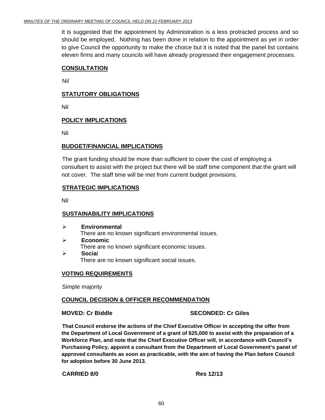It is suggested that the appointment by Administration is a less protracted process and so should be employed. Nothing has been done in relation to the appointment as yet in order to give Council the opportunity to make the choice but it is noted that the panel list contains eleven firms and many councils will have already progressed their engagement processes.

# **CONSULTATION**

Nil

# **STATUTORY OBLIGATIONS**

Nil

# **POLICY IMPLICATIONS**

Nil

## **BUDGET/FINANCIAL IMPLICATIONS**

The grant funding should be more than sufficient to cover the cost of employing a consultant to assist with the project but there will be staff time component that the grant will not cover. The staff time will be met from current budget provisions.

# **STRATEGIC IMPLICATIONS**

Nil

## **SUSTAINABILITY IMPLICATIONS**

- ¾ **Environmental**  There are no known significant environmental issues. ¾ **Economic**  There are no known significant economic issues.
- ¾ **Socia**l There are no known significant social issues.

# **VOTING REQUIREMENTS**

Simple majority

## **COUNCIL DECISION & OFFICER RECOMMENDATION**

**MOVED: Cr Biddle SECONDED: Cr Giles** 

**That Council endorse the actions of the Chief Executive Officer in accepting the offer from the Department of Local Government of a grant of \$25,000 to assist with the preparation of a Workforce Plan, and note that the Chief Executive Officer will, in accordance with Council's Purchasing Policy, appoint a consultant from the Department of Local Government's panel of approved consultants as soon as practicable, with the aim of having the Plan before Council for adoption before 30 June 2013.** 

#### **CARRIED 8/0 Res 12/13**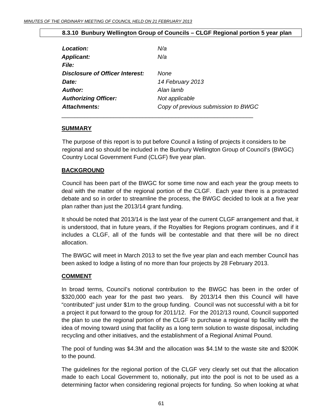# **8.3.10 Bunbury Wellington Group of Councils – CLGF Regional portion 5 year plan**

<span id="page-60-0"></span>

| Location:                       | N/a                                 |
|---------------------------------|-------------------------------------|
| <b>Applicant:</b>               | N/a                                 |
| <i>File:</i>                    |                                     |
| Disclosure of Officer Interest: | None                                |
| Date:                           | 14 February 2013                    |
| <b>Author:</b>                  | Alan lamb                           |
| <b>Authorizing Officer:</b>     | Not applicable                      |
| Attachments:                    | Copy of previous submission to BWGC |
|                                 |                                     |

#### **SUMMARY**

The purpose of this report is to put before Council a listing of projects it considers to be regional and so should be included in the Bunbury Wellington Group of Council's (BWGC) Country Local Government Fund (CLGF) five year plan.

## **BACKGROUND**

 Council has been part of the BWGC for some time now and each year the group meets to deal with the matter of the regional portion of the CLGF. Each year there is a protracted debate and so in order to streamline the process, the BWGC decided to look at a five year plan rather than just the 2013/14 grant funding.

It should be noted that 2013/14 is the last year of the current CLGF arrangement and that, it is understood, that in future years, if the Royalties for Regions program continues, and if it includes a CLGF, all of the funds will be contestable and that there will be no direct allocation.

The BWGC will meet in March 2013 to set the five year plan and each member Council has been asked to lodge a listing of no more than four projects by 28 February 2013.

## **COMMENT**

In broad terms, Council's notional contribution to the BWGC has been in the order of \$320,000 each year for the past two years. By 2013/14 then this Council will have "contributed" just under \$1m to the group funding. Council was not successful with a bit for a project it put forward to the group for 2011/12. For the 2012/13 round, Council supported the plan to use the regional portion of the CLGF to purchase a regional tip facility with the idea of moving toward using that facility as a long term solution to waste disposal, including recycling and other initiatives, and the establishment of a Regional Animal Pound.

The pool of funding was \$4.3M and the allocation was \$4.1M to the waste site and \$200K to the pound.

The guidelines for the regional portion of the CLGF very clearly set out that the allocation made to each Local Government to, notionally, put into the pool is not to be used as a determining factor when considering regional projects for funding. So when looking at what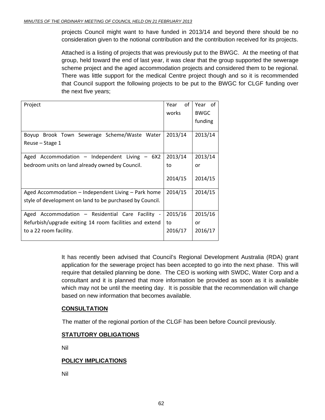projects Council might want to have funded in 2013/14 and beyond there should be no consideration given to the notional contribution and the contribution received for its projects.

Attached is a listing of projects that was previously put to the BWGC. At the meeting of that group, held toward the end of last year, it was clear that the group supported the sewerage scheme project and the aged accommodation projects and considered them to be regional. There was little support for the medical Centre project though and so it is recommended that Council support the following projects to be put to the BWGC for CLGF funding over the next five years;

| Project                                                  | of<br>Year | Year of     |
|----------------------------------------------------------|------------|-------------|
|                                                          | works      | <b>BWGC</b> |
|                                                          |            | funding     |
| Brook Town Sewerage Scheme/Waste Water<br>Boyup          | 2013/14    | 2013/14     |
| Reuse – Stage 1                                          |            |             |
| Accommodation - Independent Living - $6X2$<br>Aged       | 2013/14    | 2013/14     |
| bedroom units on land already owned by Council.          | to         | or          |
|                                                          | 2014/15    | 2014/15     |
| Aged Accommodation – Independent Living – Park home      | 2014/15    | 2014/15     |
| style of development on land to be purchased by Council. |            |             |
| Accommodation - Residential Care Facility -<br>Aged      | 2015/16    | 2015/16     |
| Refurbish/upgrade exiting 14 room facilities and extend  | to         | or          |
| to a 22 room facility.                                   | 2016/17    | 2016/17     |

It has recently been advised that Council's Regional Development Australia (RDA) grant application for the sewerage project has been accepted to go into the next phase. This will require that detailed planning be done. The CEO is working with SWDC, Water Corp and a consultant and it is planned that more information be provided as soon as it is available which may not be until the meeting day. It is possible that the recommendation will change based on new information that becomes available.

# **CONSULTATION**

The matter of the regional portion of the CLGF has been before Council previously.

# **STATUTORY OBLIGATIONS**

Nil

# **POLICY IMPLICATIONS**

Nil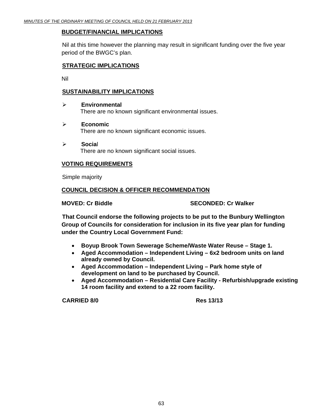# **BUDGET/FINANCIAL IMPLICATIONS**

Nil at this time however the planning may result in significant funding over the five year period of the BWGC's plan.

# **STRATEGIC IMPLICATIONS**

Nil

# **SUSTAINABILITY IMPLICATIONS**

- ¾ **Environmental**  There are no known significant environmental issues.
- ¾ **Economic**  There are no known significant economic issues.
- ¾ **Socia**l There are no known significant social issues.

# **VOTING REQUIREMENTS**

Simple majority

# **COUNCIL DECISION & OFFICER RECOMMENDATION**

**MOVED: Cr Biddle SECONDED: Cr Walker SECONDED: Cr Walker** 

**That Council endorse the following projects to be put to the Bunbury Wellington Group of Councils for consideration for inclusion in its five year plan for funding under the Country Local Government Fund:**

- **Boyup Brook Town Sewerage Scheme/Waste Water Reuse Stage 1.**
- **Aged Accommodation Independent Living 6x2 bedroom units on land already owned by Council.**
- **Aged Accommodation Independent Living Park home style of development on land to be purchased by Council.**
- **Aged Accommodation Residential Care Facility Refurbish/upgrade existing 14 room facility and extend to a 22 room facility.**

**CARRIED 8/0 Res 13/13**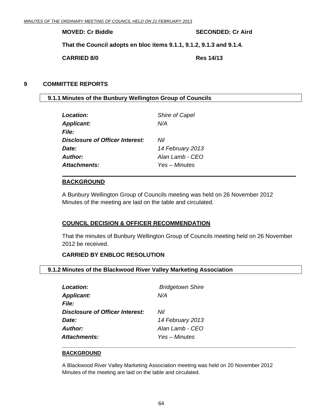<span id="page-63-0"></span>**MOVED: Cr Biddle SECONDED: Cr Aird 3DECONDED: Cr Aird 3DECONDED: Cr Aird 3DECONDED: Cr Aird 3DECONDED: C** 

**That the Council adopts en bloc items 9.1.1, 9.1.2, 9.1.3 and 9.1.4.** 

**CARRIED 8/0 Res 14/13** 

# **9 COMMITTEE REPORTS**

# **9.1.1 Minutes of the Bunbury Wellington Group of Councils**

| Location:                       | Shire of Capel   |
|---------------------------------|------------------|
| <b>Applicant:</b>               | N/A              |
| <i>File:</i>                    |                  |
| Disclosure of Officer Interest: | Nil              |
| Date:                           | 14 February 2013 |
| Author:                         | Alan Lamb - CEO  |
| Attachments:                    | Yes – Minutes    |
|                                 |                  |

#### **BACKGROUND**

A Bunbury Wellington Group of Councils meeting was held on 26 November 2012 Minutes of the meeting are laid on the table and circulated.

# **COUNCIL DECISION & OFFICER RECOMMENDATION**

That the minutes of Bunbury Wellington Group of Councils meeting held on 26 November 2012 be received.

**\_\_\_\_\_\_\_\_\_\_\_\_\_\_\_\_\_\_\_\_\_\_\_\_\_\_\_\_\_\_\_\_\_\_\_\_\_\_\_\_\_\_\_\_\_\_\_\_\_\_\_\_\_\_\_\_\_\_\_\_\_\_\_\_\_\_\_\_\_\_\_\_**

## **CARRIED BY ENBLOC RESOLUTION**

## **9.1.2 Minutes of the Blackwood River Valley Marketing Association**

| Location:                       | <b>Bridgetown Shire</b> |
|---------------------------------|-------------------------|
| <b>Applicant:</b>               | N/A                     |
| <b>File:</b>                    |                         |
| Disclosure of Officer Interest: | Nil                     |
| Date:                           | 14 February 2013        |
| Author:                         | Alan Lamb - CEO         |
| <b>Attachments:</b>             | Yes – Minutes           |

#### **BACKGROUND**

A Blackwood River Valley Marketing Association meeting was held on 20 November 2012 Minutes of the meeting are laid on the table and circulated.

*\_\_\_\_\_\_\_\_\_\_\_\_\_\_\_\_\_\_\_\_\_\_\_\_\_\_\_\_\_\_\_\_\_\_\_\_\_\_\_\_\_\_\_\_\_\_\_\_\_\_\_\_\_\_\_\_\_\_\_\_\_\_\_\_\_\_\_\_\_\_\_\_*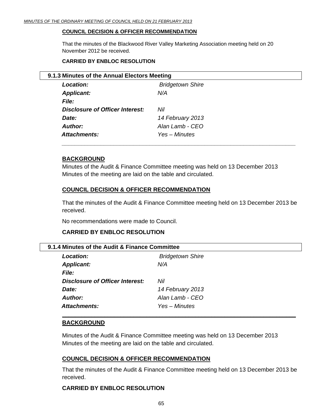#### <span id="page-64-0"></span>**COUNCIL DECISION & OFFICER RECOMMENDATION**

That the minutes of the Blackwood River Valley Marketing Association meeting held on 20 November 2012 be received.

#### **CARRIED BY ENBLOC RESOLUTION**

| Location:                       | <b>Bridgetown Shire</b> |
|---------------------------------|-------------------------|
| <b>Applicant:</b>               | N/A                     |
| <b>File:</b>                    |                         |
| Disclosure of Officer Interest: | Nil                     |
| Date:                           | 14 February 2013        |
| <b>Author:</b>                  | Alan Lamb - CEO         |
| Attachments:                    | Yes – Minutes           |

## **BACKGROUND**

Minutes of the Audit & Finance Committee meeting was held on 13 December 2013 Minutes of the meeting are laid on the table and circulated.

## **COUNCIL DECISION & OFFICER RECOMMENDATION**

That the minutes of the Audit & Finance Committee meeting held on 13 December 2013 be received.

No recommendations were made to Council.

## **CARRIED BY ENBLOC RESOLUTION**

#### **9.1.4 Minutes of the Audit & Finance Committee**

| <b>Location:</b>                       | <b>Bridgetown Shire</b> |  |
|----------------------------------------|-------------------------|--|
| <b>Applicant:</b>                      | N/A                     |  |
| <i>File:</i>                           |                         |  |
| <b>Disclosure of Officer Interest:</b> | Nil                     |  |
| Date:                                  | 14 February 2013        |  |
| <b>Author:</b>                         | Alan Lamb - CEO         |  |
| <b>Attachments:</b>                    | Yes – Minutes           |  |
|                                        |                         |  |

**\_\_\_\_\_\_\_\_\_\_\_\_\_\_\_\_\_\_\_\_\_\_\_\_\_\_\_\_\_\_\_\_\_\_\_\_\_\_\_\_\_\_\_\_\_\_\_\_\_\_\_\_\_\_\_\_\_\_\_\_\_\_\_\_\_\_\_\_\_\_\_\_**

## **BACKGROUND**

Minutes of the Audit & Finance Committee meeting was held on 13 December 2013 Minutes of the meeting are laid on the table and circulated.

## **COUNCIL DECISION & OFFICER RECOMMENDATION**

That the minutes of the Audit & Finance Committee meeting held on 13 December 2013 be received.

## **CARRIED BY ENBLOC RESOLUTION**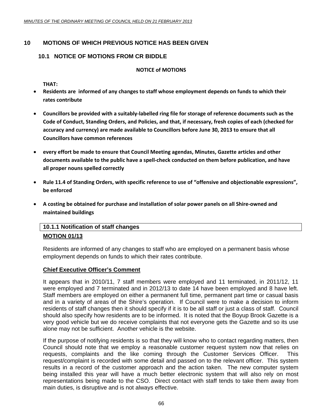# <span id="page-65-0"></span>**10 MOTIONS OF WHICH PREVIOUS NOTICE HAS BEEN GIVEN**

# **10.1 NOTICE OF MOTIONS FROM CR BIDDLE**

#### **NOTICE of MOTIONS**

**THAT:**

- **Residents are informed of any changes to staff whose employment depends on funds to which their rates contribute**
- Councillors be provided with a suitably-labelled ring file for storage of reference documents such as the **Code of Conduct, Standing Orders, and Policies, and that, if necessary, fresh copies of each (checked for accuracy and currency) are made available to Councillors before June 30, 2013 to ensure that all Councillors have common references**
- **every effort be made to ensure that Council Meeting agendas, Minutes, Gazette articles and other** documents available to the public have a spell-check conducted on them before publication, and have **all proper nouns spelled correctly**
- **Rule 11.4 of Standing Orders, with specific reference to use of "offensive and objectionable expressions", be enforced**
- **A costing be obtained for purchase and installation of solar power panels on all Shire‐owned and maintained buildings**

# **10.1.1 Notification of staff changes MOTION 01/13**

Residents are informed of any changes to staff who are employed on a permanent basis whose employment depends on funds to which their rates contribute.

# **Chief Executive Officer's Comment**

It appears that in 2010/11, 7 staff members were employed and 11 terminated, in 2011/12, 11 were employed and 7 terminated and in 2012/13 to date 14 have been employed and 8 have left. Staff members are employed on either a permanent full time, permanent part time or casual basis and in a variety of areas of the Shire's operation. If Council were to make a decision to inform residents of staff changes then it should specify if it is to be all staff or just a class of staff. Council should also specify how residents are to be informed. It is noted that the Boyup Brook Gazette is a very good vehicle but we do receive complaints that not everyone gets the Gazette and so its use alone may not be sufficient. Another vehicle is the website.

If the purpose of notifying residents is so that they will know who to contact regarding matters, then Council should note that we employ a reasonable customer request system now that relies on requests, complaints and the like coming through the Customer Services Officer. This request/complaint is recorded with some detail and passed on to the relevant officer. This system results in a record of the customer approach and the action taken. The new computer system being installed this year will have a much better electronic system that will also rely on most representations being made to the CSO. Direct contact with staff tends to take them away from main duties, is disruptive and is not always effective.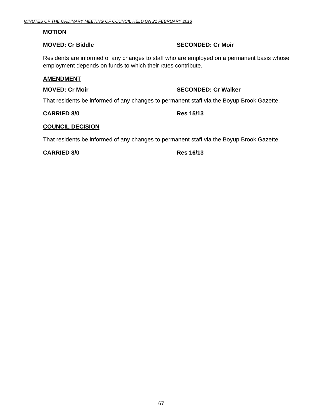#### **MOTION**

# **MOVED: Cr Biddle SECONDED: Cr Moir**

Residents are informed of any changes to staff who are employed on a permanent basis whose employment depends on funds to which their rates contribute.

#### **AMENDMENT**

# **MOVED: Cr Moir MOVED: Cr Walker**

That residents be informed of any changes to permanent staff via the Boyup Brook Gazette.

**CARRIED 8/0 Res 15/13** 

### **COUNCIL DECISION**

That residents be informed of any changes to permanent staff via the Boyup Brook Gazette.

#### **CARRIED 8/0 Res 16/13**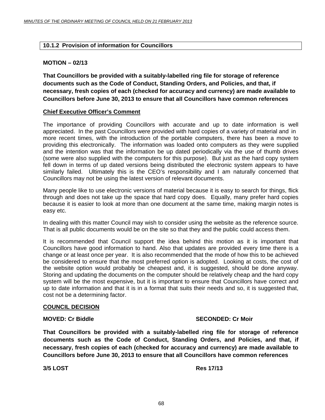# <span id="page-67-0"></span>**10.1.2 Provision of information for Councillors**

## **MOTION – 02/13**

**That Councillors be provided with a suitably-labelled ring file for storage of reference documents such as the Code of Conduct, Standing Orders, and Policies, and that, if necessary, fresh copies of each (checked for accuracy and currency) are made available to Councillors before June 30, 2013 to ensure that all Councillors have common references** 

#### **Chief Executive Officer's Comment**

The importance of providing Councillors with accurate and up to date information is well appreciated. In the past Councillors were provided with hard copies of a variety of material and in more recent times, with the introduction of the portable computers, there has been a move to providing this electronically. The information was loaded onto computers as they were supplied and the intention was that the information be up dated periodically via the use of thumb drives (some were also supplied with the computers for this purpose). But just as the hard copy system fell down in terms of up dated versions being distributed the electronic system appears to have similarly failed. Ultimately this is the CEO's responsibility and I am naturally concerned that Councillors may not be using the latest version of relevant documents.

Many people like to use electronic versions of material because it is easy to search for things, flick through and does not take up the space that hard copy does. Equally, many prefer hard copies because it is easier to look at more than one document at the same time, making margin notes is easy etc.

In dealing with this matter Council may wish to consider using the website as the reference source. That is all public documents would be on the site so that they and the public could access them.

It is recommended that Council support the idea behind this motion as it is important that Councillors have good information to hand. Also that updates are provided every time there is a change or at least once per year. It is also recommended that the mode of how this to be achieved be considered to ensure that the most preferred option is adopted. Looking at costs, the cost of the website option would probably be cheapest and, it is suggested, should be done anyway. Storing and updating the documents on the computer should be relatively cheap and the hard copy system will be the most expensive, but it is important to ensure that Councillors have correct and up to date information and that it is in a format that suits their needs and so, it is suggested that, cost not be a determining factor.

#### **COUNCIL DECISION**

## **MOVED: Cr Biddle SECONDED: Cr Moir**

**That Councillors be provided with a suitably-labelled ring file for storage of reference documents such as the Code of Conduct, Standing Orders, and Policies, and that, if necessary, fresh copies of each (checked for accuracy and currency) are made available to Councillors before June 30, 2013 to ensure that all Councillors have common references** 

**3/5 LOST Res 17/13**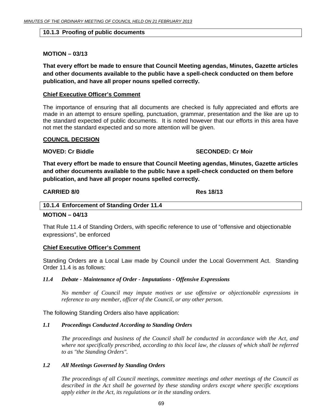#### <span id="page-68-0"></span>**10.1.3 Proofing of public documents**

#### **MOTION – 03/13**

**That every effort be made to ensure that Council Meeting agendas, Minutes, Gazette articles and other documents available to the public have a spell-check conducted on them before publication, and have all proper nouns spelled correctly.** 

#### **Chief Executive Officer's Comment**

The importance of ensuring that all documents are checked is fully appreciated and efforts are made in an attempt to ensure spelling, punctuation, grammar, presentation and the like are up to the standard expected of public documents. It is noted however that our efforts in this area have not met the standard expected and so more attention will be given.

#### **COUNCIL DECISION**

#### **MOVED: Cr Biddle SECONDED: Cr Moir and SECONDED: Cr Moir**

**That every effort be made to ensure that Council Meeting agendas, Minutes, Gazette articles and other documents available to the public have a spell-check conducted on them before publication, and have all proper nouns spelled correctly.** 

#### **CARRIED 8/0 Res 18/13**

#### **10.1.4 Enforcement of Standing Order 11.4**

#### **MOTION – 04/13**

That Rule 11.4 of Standing Orders, with specific reference to use of "offensive and objectionable expressions", be enforced

#### **Chief Executive Officer's Comment**

Standing Orders are a Local Law made by Council under the Local Government Act. Standing Order 11.4 is as follows:

#### *11.4 Debate - Maintenance of Order - Imputations - Offensive Expressions*

*No member of Council may impute motives or use offensive or objectionable expressions in reference to any member, officer of the Council, or any other person.* 

The following Standing Orders also have application:

#### *1.1 Proceedings Conducted According to Standing Orders*

*The proceedings and business of the Council shall be conducted in accordance with the Act, and where not specifically prescribed, according to this local law, the clauses of which shall be referred to as "the Standing Orders".* 

#### *1.2 All Meetings Governed by Standing Orders*

*The proceedings of all Council meetings, committee meetings and other meetings of the Council as described in the Act shall be governed by these standing orders except where specific exceptions apply either in the Act, its regulations or in the standing orders.*